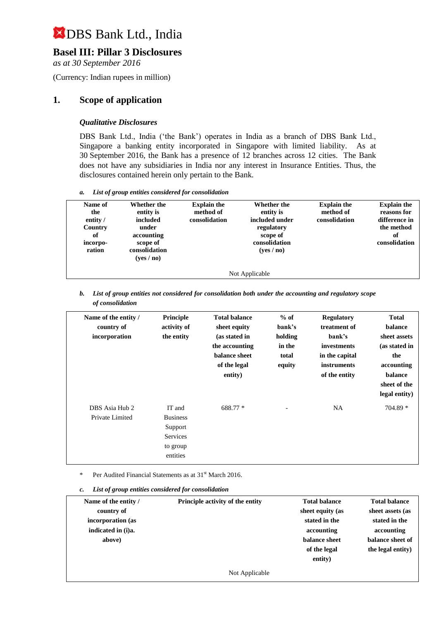## **Basel III: Pillar 3 Disclosures**

*as at 30 September 2016*

(Currency: Indian rupees in million)

## **1. Scope of application**

#### *Qualitative Disclosures*

DBS Bank Ltd., India ('the Bank') operates in India as a branch of DBS Bank Ltd., Singapore a banking entity incorporated in Singapore with limited liability. As at 30 September 2016, the Bank has a presence of 12 branches across 12 cities. The Bank does not have any subsidiaries in India nor any interest in Insurance Entities. Thus, the disclosures contained herein only pertain to the Bank.

*a. List of group entities considered for consolidation*

| Name of<br>the<br>entity /<br>Country<br>of<br>incorpo-<br>ration | Whether the<br>entity is<br>included<br>under<br>accounting<br>scope of<br>consolidation<br>( <b>ves</b> / <b>no</b> ) | <b>Explain the</b><br>method of<br>consolidation | <b>Whether the</b><br>entity is<br>included under<br>regulatory<br>scope of<br>consolidation<br>(yes/no) | <b>Explain the</b><br>method of<br>consolidation | <b>Explain the</b><br>reasons for<br>difference in<br>the method<br>of<br>consolidation |  |
|-------------------------------------------------------------------|------------------------------------------------------------------------------------------------------------------------|--------------------------------------------------|----------------------------------------------------------------------------------------------------------|--------------------------------------------------|-----------------------------------------------------------------------------------------|--|
| Not Applicable                                                    |                                                                                                                        |                                                  |                                                                                                          |                                                  |                                                                                         |  |

*b. List of group entities not considered for consolidation both under the accounting and regulatory scope of consolidation*

| Name of the entity /<br>country of<br>incorporation | Principle<br>activity of<br>the entity                                          | <b>Total balance</b><br>sheet equity<br>(as stated in<br>the accounting<br>balance sheet<br>of the legal<br>entity) | $%$ of<br>bank's<br>holding<br>in the<br>total<br>equity | <b>Regulatory</b><br>treatment of<br>bank's<br>investments<br>in the capital<br>instruments<br>of the entity | <b>Total</b><br>balance<br>sheet assets<br>(as stated in<br>the<br>accounting<br>balance<br>sheet of the<br>legal entity) |
|-----------------------------------------------------|---------------------------------------------------------------------------------|---------------------------------------------------------------------------------------------------------------------|----------------------------------------------------------|--------------------------------------------------------------------------------------------------------------|---------------------------------------------------------------------------------------------------------------------------|
| DBS Asia Hub 2<br>Private Limited                   | IT and<br><b>Business</b><br>Support<br><b>Services</b><br>to group<br>entities | 688.77 *                                                                                                            |                                                          | <b>NA</b>                                                                                                    | $704.89*$                                                                                                                 |

Per Audited Financial Statements as at 31<sup>st</sup> March 2016.

*c. List of group entities considered for consolidation*

| Name of the entity /<br>country of<br>incorporation (as<br>indicated in (i)a.<br>above) | Principle activity of the entity | <b>Total balance</b><br>sheet equity (as<br>stated in the<br>accounting<br>balance sheet | <b>Total balance</b><br>sheet assets (as<br>stated in the<br>accounting<br>balance sheet of |
|-----------------------------------------------------------------------------------------|----------------------------------|------------------------------------------------------------------------------------------|---------------------------------------------------------------------------------------------|
|                                                                                         |                                  | of the legal<br>entity)                                                                  | the legal entity)                                                                           |
|                                                                                         | Not Applicable                   |                                                                                          |                                                                                             |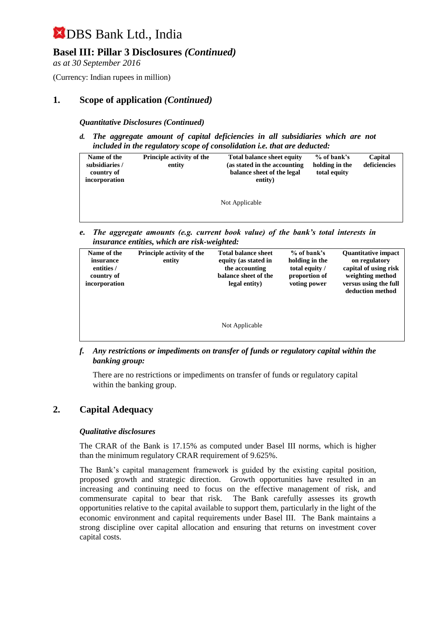## **Basel III: Pillar 3 Disclosures** *(Continued)*

*as at 30 September 2016*

(Currency: Indian rupees in million)

### **1. Scope of application** *(Continued)*

#### *Quantitative Disclosures (Continued)*

*d. The aggregate amount of capital deficiencies in all subsidiaries which are not included in the regulatory scope of consolidation i.e. that are deducted:*

| <b>Principle activity of the</b><br>Name of the<br>subsidiaries /<br>entity<br>country of<br>incorporation |  | <b>Total balance sheet equity</b><br>(as stated in the accounting)<br>balance sheet of the legal<br>entity) | % of bank's<br>holding in the<br>total equity | Capital<br>deficiencies |
|------------------------------------------------------------------------------------------------------------|--|-------------------------------------------------------------------------------------------------------------|-----------------------------------------------|-------------------------|
|                                                                                                            |  | Not Applicable                                                                                              |                                               |                         |

*e. The aggregate amounts (e.g. current book value) of the bank's total interests in insurance entities, which are risk-weighted:*

| Name of the<br>insurance<br>entities /<br>country of<br>incorporation | <b>Principle activity of the</b><br>entity | <b>Total balance sheet</b><br>equity (as stated in<br>the accounting<br>balance sheet of the<br>legal entity) | $%$ of bank's<br>holding in the<br>total equity /<br>proportion of<br>voting power | <b>Quantitative impact</b><br>on regulatory<br>capital of using risk<br>weighting method<br>versus using the full<br>deduction method |
|-----------------------------------------------------------------------|--------------------------------------------|---------------------------------------------------------------------------------------------------------------|------------------------------------------------------------------------------------|---------------------------------------------------------------------------------------------------------------------------------------|
|                                                                       |                                            | Not Applicable                                                                                                |                                                                                    |                                                                                                                                       |

*f. Any restrictions or impediments on transfer of funds or regulatory capital within the banking group:*

There are no restrictions or impediments on transfer of funds or regulatory capital within the banking group.

#### **2. Capital Adequacy**

#### *Qualitative disclosures*

The CRAR of the Bank is 17.15% as computed under Basel III norms, which is higher than the minimum regulatory CRAR requirement of 9.625%.

The Bank's capital management framework is guided by the existing capital position, proposed growth and strategic direction. Growth opportunities have resulted in an increasing and continuing need to focus on the effective management of risk, and commensurate capital to bear that risk. The Bank carefully assesses its growth opportunities relative to the capital available to support them, particularly in the light of the economic environment and capital requirements under Basel III. The Bank maintains a strong discipline over capital allocation and ensuring that returns on investment cover capital costs.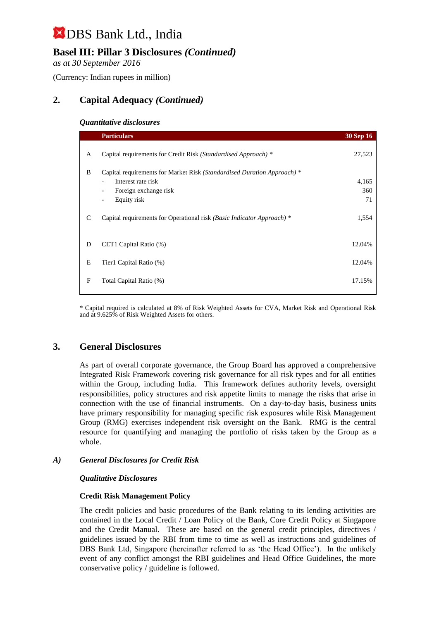## **Basel III: Pillar 3 Disclosures** *(Continued)*

*as at 30 September 2016*

(Currency: Indian rupees in million)

## **2. Capital Adequacy** *(Continued)*

#### *Quantitative disclosures*

|   | <b>Particulars</b>                                                      | <b>30 Sep 16</b> |
|---|-------------------------------------------------------------------------|------------------|
| A | Capital requirements for Credit Risk (Standardised Approach) *          | 27,523           |
| B | Capital requirements for Market Risk (Standardised Duration Approach) * |                  |
|   | Interest rate risk                                                      | 4,165            |
|   | Foreign exchange risk                                                   | 360              |
|   | Equity risk                                                             | 71               |
| C | Capital requirements for Operational risk (Basic Indicator Approach) *  | 1,554            |
| D | CET1 Capital Ratio (%)                                                  | 12.04%           |
| E | Tier1 Capital Ratio (%)                                                 | 12.04%           |
| F | Total Capital Ratio (%)                                                 | 17.15%           |

\* Capital required is calculated at 8% of Risk Weighted Assets for CVA, Market Risk and Operational Risk and at 9.625% of Risk Weighted Assets for others.

## **3. General Disclosures**

As part of overall corporate governance, the Group Board has approved a comprehensive Integrated Risk Framework covering risk governance for all risk types and for all entities within the Group, including India. This framework defines authority levels, oversight responsibilities, policy structures and risk appetite limits to manage the risks that arise in connection with the use of financial instruments. On a day-to-day basis, business units have primary responsibility for managing specific risk exposures while Risk Management Group (RMG) exercises independent risk oversight on the Bank. RMG is the central resource for quantifying and managing the portfolio of risks taken by the Group as a whole.

#### *A) General Disclosures for Credit Risk*

#### *Qualitative Disclosures*

#### **Credit Risk Management Policy**

The credit policies and basic procedures of the Bank relating to its lending activities are contained in the Local Credit / Loan Policy of the Bank, Core Credit Policy at Singapore and the Credit Manual. These are based on the general credit principles, directives / guidelines issued by the RBI from time to time as well as instructions and guidelines of DBS Bank Ltd, Singapore (hereinafter referred to as 'the Head Office'). In the unlikely event of any conflict amongst the RBI guidelines and Head Office Guidelines, the more conservative policy / guideline is followed.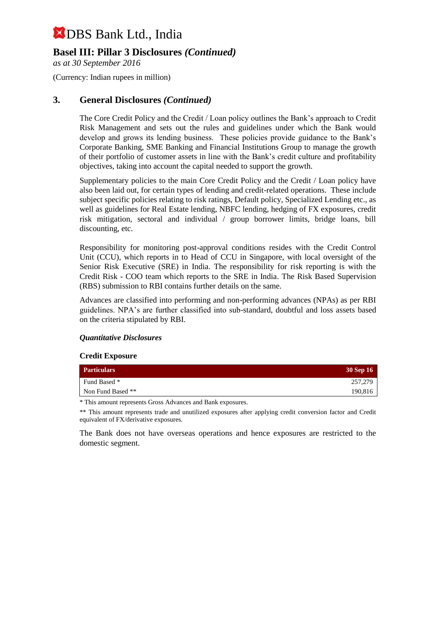## **Basel III: Pillar 3 Disclosures** *(Continued)*

*as at 30 September 2016*

(Currency: Indian rupees in million)

### **3. General Disclosures** *(Continued)*

The Core Credit Policy and the Credit / Loan policy outlines the Bank's approach to Credit Risk Management and sets out the rules and guidelines under which the Bank would develop and grows its lending business. These policies provide guidance to the Bank's Corporate Banking, SME Banking and Financial Institutions Group to manage the growth of their portfolio of customer assets in line with the Bank's credit culture and profitability objectives, taking into account the capital needed to support the growth.

Supplementary policies to the main Core Credit Policy and the Credit / Loan policy have also been laid out, for certain types of lending and credit-related operations. These include subject specific policies relating to risk ratings, Default policy, Specialized Lending etc., as well as guidelines for Real Estate lending, NBFC lending, hedging of FX exposures, credit risk mitigation, sectoral and individual / group borrower limits, bridge loans, bill discounting, etc.

Responsibility for monitoring post-approval conditions resides with the Credit Control Unit (CCU), which reports in to Head of CCU in Singapore, with local oversight of the Senior Risk Executive (SRE) in India. The responsibility for risk reporting is with the Credit Risk - COO team which reports to the SRE in India. The Risk Based Supervision (RBS) submission to RBI contains further details on the same.

Advances are classified into performing and non-performing advances (NPAs) as per RBI guidelines. NPA's are further classified into sub-standard, doubtful and loss assets based on the criteria stipulated by RBI.

#### *Quantitative Disclosures*

#### **Credit Exposure**

| <b>Particulars</b> | <b>30 Sep 16</b> |
|--------------------|------------------|
| Fund Based *       | 257,279          |
| Non Fund Based **  | 190,816          |

\* This amount represents Gross Advances and Bank exposures.

\*\* This amount represents trade and unutilized exposures after applying credit conversion factor and Credit equivalent of FX/derivative exposures.

The Bank does not have overseas operations and hence exposures are restricted to the domestic segment.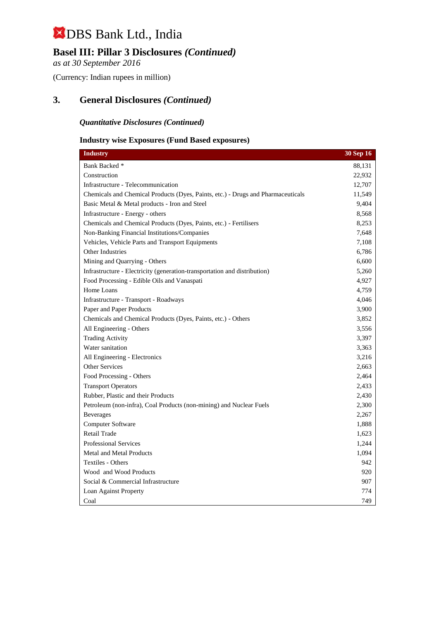## **Basel III: Pillar 3 Disclosures** *(Continued)*

*as at 30 September 2016*

(Currency: Indian rupees in million)

## **3. General Disclosures** *(Continued)*

#### *Quantitative Disclosures (Continued)*

### **Industry wise Exposures (Fund Based exposures)**

| <b>Industry</b>                                                                  | 30 Sep 16 |
|----------------------------------------------------------------------------------|-----------|
| Bank Backed *                                                                    | 88,131    |
| Construction                                                                     | 22,932    |
| Infrastructure - Telecommunication                                               | 12,707    |
| Chemicals and Chemical Products (Dyes, Paints, etc.) - Drugs and Pharmaceuticals | 11,549    |
| Basic Metal & Metal products - Iron and Steel                                    | 9,404     |
| Infrastructure - Energy - others                                                 | 8,568     |
| Chemicals and Chemical Products (Dyes, Paints, etc.) - Fertilisers               | 8,253     |
| Non-Banking Financial Institutions/Companies                                     | 7,648     |
| Vehicles, Vehicle Parts and Transport Equipments                                 | 7,108     |
| Other Industries                                                                 | 6,786     |
| Mining and Quarrying - Others                                                    | 6,600     |
| Infrastructure - Electricity (generation-transportation and distribution)        | 5,260     |
| Food Processing - Edible Oils and Vanaspati                                      | 4,927     |
| Home Loans                                                                       | 4,759     |
| Infrastructure - Transport - Roadways                                            | 4,046     |
| Paper and Paper Products                                                         | 3,900     |
| Chemicals and Chemical Products (Dyes, Paints, etc.) - Others                    | 3,852     |
| All Engineering - Others                                                         | 3,556     |
| <b>Trading Activity</b>                                                          | 3,397     |
| Water sanitation                                                                 | 3,363     |
| All Engineering - Electronics                                                    | 3,216     |
| <b>Other Services</b>                                                            | 2,663     |
| Food Processing - Others                                                         | 2,464     |
| <b>Transport Operators</b>                                                       | 2,433     |
| Rubber, Plastic and their Products                                               | 2,430     |
| Petroleum (non-infra), Coal Products (non-mining) and Nuclear Fuels              | 2,300     |
| <b>Beverages</b>                                                                 | 2,267     |
| Computer Software                                                                | 1,888     |
| <b>Retail Trade</b>                                                              | 1,623     |
| <b>Professional Services</b>                                                     | 1,244     |
| <b>Metal and Metal Products</b>                                                  | 1,094     |
| Textiles - Others                                                                | 942       |
| Wood and Wood Products                                                           | 920       |
| Social & Commercial Infrastructure                                               | 907       |
| Loan Against Property                                                            | 774       |
| Coal                                                                             | 749       |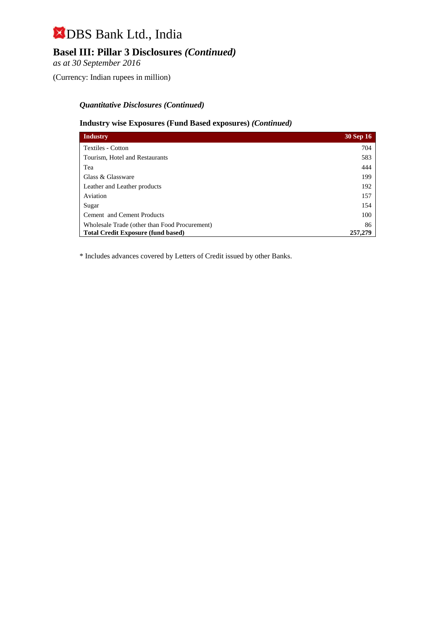## **Basel III: Pillar 3 Disclosures** *(Continued)*

*as at 30 September 2016*

(Currency: Indian rupees in million)

#### *Quantitative Disclosures (Continued)*

#### **Industry wise Exposures (Fund Based exposures)** *(Continued)*

| <b>Industry</b>                               | <b>30 Sep 16</b> |
|-----------------------------------------------|------------------|
| Textiles - Cotton                             | 704              |
| Tourism, Hotel and Restaurants                | 583              |
| Tea                                           | 444              |
| Glass & Glassware                             | 199              |
| Leather and Leather products                  | 192              |
| Aviation                                      | 157              |
| Sugar                                         | 154              |
| <b>Cement</b> and Cement Products             | 100              |
| Wholesale Trade (other than Food Procurement) | 86               |
| <b>Total Credit Exposure (fund based)</b>     | 257,279          |

\* Includes advances covered by Letters of Credit issued by other Banks.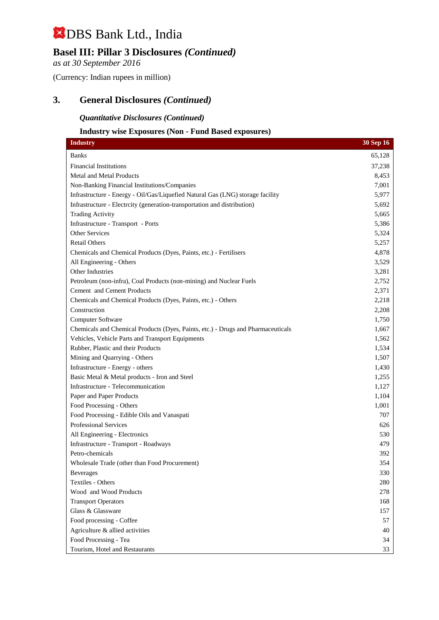## **Basel III: Pillar 3 Disclosures** *(Continued)*

*as at 30 September 2016*

(Currency: Indian rupees in million)

### **3. General Disclosures** *(Continued)*

#### *Quantitative Disclosures (Continued)*

#### **Industry wise Exposures (Non - Fund Based exposures)**

| <b>Industry</b>                                                                  | 30 Sep 16 |
|----------------------------------------------------------------------------------|-----------|
| <b>Banks</b>                                                                     | 65,128    |
| <b>Financial Institutions</b>                                                    | 37,238    |
| <b>Metal and Metal Products</b>                                                  | 8,453     |
| Non-Banking Financial Institutions/Companies                                     | 7,001     |
| Infrastructure - Energy - Oil/Gas/Liquefied Natural Gas (LNG) storage facility   | 5,977     |
| Infrastructure - Electrcity (generation-transportation and distribution)         | 5,692     |
| <b>Trading Activity</b>                                                          | 5,665     |
| Infrastructure - Transport - Ports                                               | 5,386     |
| <b>Other Services</b>                                                            | 5,324     |
| <b>Retail Others</b>                                                             | 5,257     |
| Chemicals and Chemical Products (Dyes, Paints, etc.) - Fertilisers               | 4,878     |
| All Engineering - Others                                                         | 3,529     |
| Other Industries                                                                 | 3,281     |
| Petroleum (non-infra), Coal Products (non-mining) and Nuclear Fuels              | 2,752     |
| Cement and Cement Products                                                       | 2,371     |
| Chemicals and Chemical Products (Dyes, Paints, etc.) - Others                    | 2,218     |
| Construction                                                                     | 2,208     |
| Computer Software                                                                | 1,750     |
| Chemicals and Chemical Products (Dyes, Paints, etc.) - Drugs and Pharmaceuticals | 1,667     |
| Vehicles, Vehicle Parts and Transport Equipments                                 | 1,562     |
| Rubber, Plastic and their Products                                               | 1,534     |
| Mining and Quarrying - Others                                                    | 1,507     |
| Infrastructure - Energy - others                                                 | 1,430     |
| Basic Metal & Metal products - Iron and Steel                                    | 1,255     |
| Infrastructure - Telecommunication                                               | 1,127     |
| Paper and Paper Products                                                         | 1,104     |
| Food Processing - Others                                                         | 1,001     |
| Food Processing - Edible Oils and Vanaspati                                      | 707       |
| Professional Services                                                            | 626       |
| All Engineering - Electronics                                                    | 530       |
| Infrastructure - Transport - Roadways                                            | 479       |
| Petro-chemicals                                                                  | 392       |
| Wholesale Trade (other than Food Procurement)                                    | 354       |
| <b>Beverages</b>                                                                 | 330       |
| Textiles - Others                                                                | 280       |
| Wood and Wood Products                                                           | 278       |
| <b>Transport Operators</b>                                                       | 168       |
| Glass & Glassware                                                                | 157       |
| Food processing - Coffee                                                         | 57        |
| Agriculture & allied activities                                                  | 40        |
| Food Processing - Tea                                                            | 34        |
| Tourism, Hotel and Restaurants                                                   | 33        |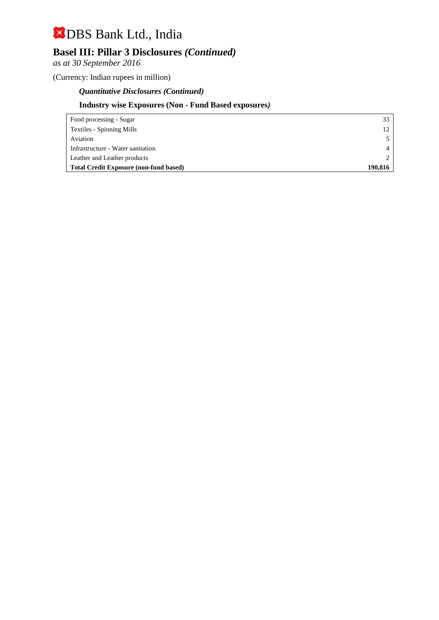## **Basel III: Pillar 3 Disclosures** *(Continued)*

*as at 30 September 2016*

(Currency: Indian rupees in million)

### *Quantitative Disclosures (Continued)*

## **Industry wise Exposures (Non - Fund Based exposures***)*

| Food processing - Sugar                       | 33      |
|-----------------------------------------------|---------|
| Textiles - Spinning Mills                     | 12      |
| Aviation                                      |         |
| Infrastructure - Water sanitation             |         |
| Leather and Leather products                  |         |
| <b>Total Credit Exposure (non-fund based)</b> | 190.816 |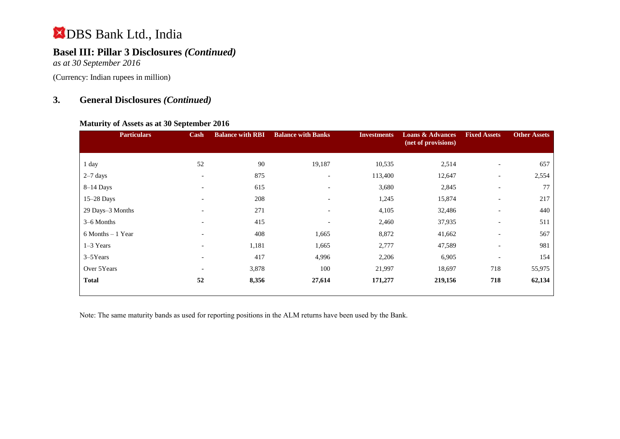## **Basel III: Pillar 3 Disclosures** *(Continued)*

*as at 30 September 2016*

(Currency: Indian rupees in million)

## **3. General Disclosures** *(Continued)*

#### **Maturity of Assets as at 30 September 2016**

| Cash                     | <b>Balance with RBI</b> | <b>Balance with Banks</b> | <b>Investments</b> | <b>Loans &amp; Advances</b><br>(net of provisions) | <b>Fixed Assets</b>      | <b>Other Assets</b>      |
|--------------------------|-------------------------|---------------------------|--------------------|----------------------------------------------------|--------------------------|--------------------------|
|                          |                         |                           |                    |                                                    |                          | 657                      |
|                          |                         |                           |                    |                                                    |                          |                          |
| $\overline{\phantom{a}}$ |                         | $\overline{\phantom{0}}$  |                    |                                                    | $\overline{\phantom{a}}$ | 2,554                    |
| $\overline{\phantom{a}}$ | 615                     | $\overline{\phantom{0}}$  | 3,680              | 2,845                                              | $\overline{\phantom{0}}$ | 77                       |
| $\overline{\phantom{0}}$ | 208                     | $\overline{\phantom{0}}$  | 1,245              | 15,874                                             | $\overline{\phantom{a}}$ | 217                      |
| $\overline{\phantom{a}}$ | 271                     | $\overline{\phantom{0}}$  | 4,105              | 32,486                                             | $\overline{\phantom{a}}$ | 440                      |
| $\overline{\phantom{a}}$ | 415                     | $\overline{\phantom{a}}$  | 2,460              | 37,935                                             | $\overline{\phantom{a}}$ | 511                      |
| $\overline{\phantom{0}}$ | 408                     | 1,665                     | 8,872              | 41,662                                             | $\overline{\phantom{a}}$ | 567                      |
| $\overline{\phantom{a}}$ | 1,181                   | 1,665                     | 2,777              | 47,589                                             | $\overline{\phantom{0}}$ | 981                      |
| $\overline{\phantom{0}}$ | 417                     | 4,996                     | 2,206              | 6,905                                              |                          | 154                      |
| $\overline{\phantom{0}}$ | 3,878                   | 100                       | 21,997             | 18,697                                             | 718                      | 55,975                   |
| 52                       | 8,356                   | 27,614                    | 171,277            | 219,156                                            | 718                      | 62,134                   |
|                          | 52                      | 90<br>875                 | 19,187             | 10,535<br>113,400                                  | 2,514<br>12,647          | $\overline{\phantom{a}}$ |

Note: The same maturity bands as used for reporting positions in the ALM returns have been used by the Bank.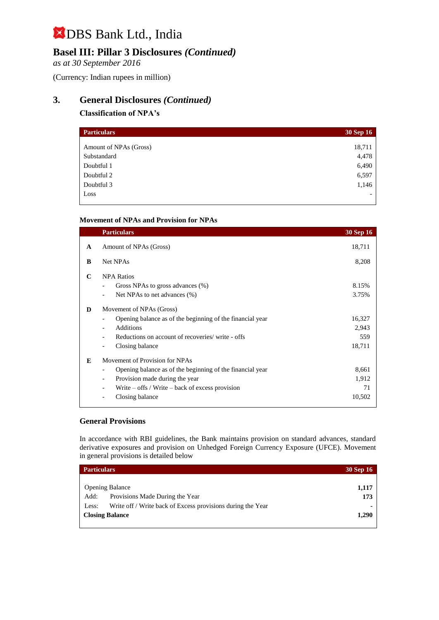## **Basel III: Pillar 3 Disclosures** *(Continued)*

*as at 30 September 2016*

(Currency: Indian rupees in million)

## **3. General Disclosures** *(Continued)*

#### **Classification of NPA's**

| <b>Particulars</b>     | <b>30 Sep 16</b> |
|------------------------|------------------|
|                        |                  |
| Amount of NPAs (Gross) | 18,711           |
| Substandard            | 4,478            |
| Doubtful 1             | 6,490            |
| Doubtful 2             | 6,597            |
| Doubtful 3             | 1,146            |
| Loss                   |                  |

#### **Movement of NPAs and Provision for NPAs**

| <b>Particulars</b>                                             | <b>30 Sep 16</b> |
|----------------------------------------------------------------|------------------|
| Amount of NPAs (Gross)                                         | 18,711           |
| Net NPAs                                                       | 8,208            |
| <b>NPA Ratios</b>                                              |                  |
| Gross NPAs to gross advances $(\%)$                            | 8.15%            |
| Net NPAs to net advances (%)                                   | 3.75%            |
| Movement of NPAs (Gross)                                       |                  |
| Opening balance as of the beginning of the financial year      | 16,327           |
| Additions<br>$\overline{\phantom{0}}$                          | 2,943            |
| Reductions on account of recoveries/ write - offs              | 559              |
| Closing balance                                                | 18,711           |
| Movement of Provision for NPAs                                 |                  |
| Opening balance as of the beginning of the financial year      | 8,661            |
| Provision made during the year<br>$\qquad \qquad \blacksquare$ | 1,912            |
| Write $-$ offs / Write $-$ back of excess provision            | 71               |
| Closing balance                                                | 10,502           |
|                                                                |                  |

#### **General Provisions**

In accordance with RBI guidelines, the Bank maintains provision on standard advances, standard derivative exposures and provision on Unhedged Foreign Currency Exposure (UFCE). Movement in general provisions is detailed below

| <b>Particulars</b>     |                                                             | <b>30 Sep 16</b> |
|------------------------|-------------------------------------------------------------|------------------|
|                        |                                                             |                  |
|                        | <b>Opening Balance</b>                                      | 1,117            |
| Add:                   | Provisions Made During the Year                             | 173              |
| Less:                  | Write off / Write back of Excess provisions during the Year | $\blacksquare$   |
| <b>Closing Balance</b> |                                                             | 1,290            |
|                        |                                                             |                  |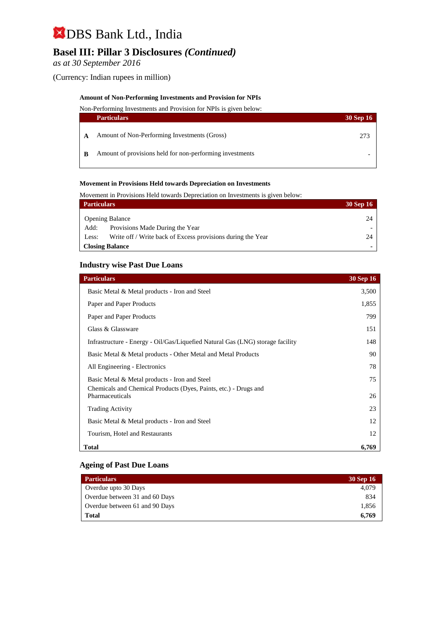## **Basel III: Pillar 3 Disclosures** *(Continued)*

*as at 30 September 2016*

(Currency: Indian rupees in million)

#### **Amount of Non-Performing Investments and Provision for NPIs**

Non-Performing Investments and Provision for NPIs is given below:

|   | <b>Particulars</b>                                       | <b>30 Sep 16</b> |
|---|----------------------------------------------------------|------------------|
|   | Amount of Non-Performing Investments (Gross)             | 273              |
| B | Amount of provisions held for non-performing investments |                  |

#### **Movement in Provisions Held towards Depreciation on Investments**

Movement in Provisions Held towards Depreciation on Investments is given below:

| <b>Particulars</b> |                                                             | <b>30 Sep 16</b> |
|--------------------|-------------------------------------------------------------|------------------|
|                    | <b>Opening Balance</b>                                      | 24               |
| Add:               | Provisions Made During the Year                             |                  |
| Less:              | Write off / Write back of Excess provisions during the Year | 24               |
|                    | <b>Closing Balance</b>                                      |                  |

#### **Industry wise Past Due Loans**

| <b>Particulars</b>                                                             | <b>30 Sep 16</b> |
|--------------------------------------------------------------------------------|------------------|
| Basic Metal & Metal products - Iron and Steel                                  | 3,500            |
| Paper and Paper Products                                                       | 1,855            |
| Paper and Paper Products                                                       | 799              |
| Glass & Glassware                                                              | 151              |
| Infrastructure - Energy - Oil/Gas/Liquefied Natural Gas (LNG) storage facility | 148              |
| Basic Metal & Metal products - Other Metal and Metal Products                  | 90               |
| All Engineering - Electronics                                                  | 78               |
| Basic Metal & Metal products - Iron and Steel                                  | 75               |
| Chemicals and Chemical Products (Dyes, Paints, etc.) - Drugs and               |                  |
| Pharmaceuticals                                                                | 26               |
| <b>Trading Activity</b>                                                        | 23               |
| Basic Metal & Metal products - Iron and Steel                                  | 12               |
| Tourism, Hotel and Restaurants                                                 | 12               |
| <b>Total</b>                                                                   | 6,769            |

#### **Ageing of Past Due Loans**

| <b>Particulars</b>             | <b>30 Sep 16</b> |
|--------------------------------|------------------|
| Overdue upto 30 Days           | 4.079            |
| Overdue between 31 and 60 Days | 834              |
| Overdue between 61 and 90 Days | 1,856            |
| Total                          | 6.769            |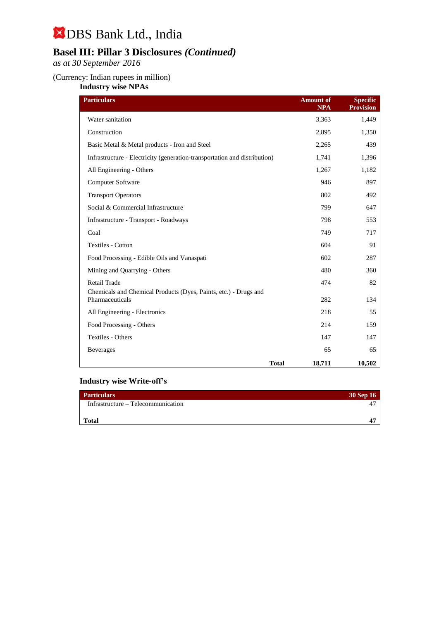## **Basel III: Pillar 3 Disclosures** *(Continued)*

*as at 30 September 2016*

#### (Currency: Indian rupees in million)

**Industry wise NPAs**

| <b>Particulars</b>                                                                  | <b>Amount of</b><br><b>NPA</b> | <b>Specific</b><br><b>Provision</b> |
|-------------------------------------------------------------------------------------|--------------------------------|-------------------------------------|
| Water sanitation                                                                    | 3,363                          | 1,449                               |
| Construction                                                                        | 2,895                          | 1,350                               |
| Basic Metal & Metal products - Iron and Steel                                       | 2,265                          | 439                                 |
| Infrastructure - Electricity (generation-transportation and distribution)           | 1,741                          | 1,396                               |
| All Engineering - Others                                                            | 1,267                          | 1,182                               |
| Computer Software                                                                   | 946                            | 897                                 |
| <b>Transport Operators</b>                                                          | 802                            | 492                                 |
| Social & Commercial Infrastructure                                                  | 799                            | 647                                 |
| Infrastructure - Transport - Roadways                                               | 798                            | 553                                 |
| Coal                                                                                | 749                            | 717                                 |
| Textiles - Cotton                                                                   | 604                            | 91                                  |
| Food Processing - Edible Oils and Vanaspati                                         | 602                            | 287                                 |
| Mining and Quarrying - Others                                                       | 480                            | 360                                 |
| Retail Trade                                                                        | 474                            | 82                                  |
| Chemicals and Chemical Products (Dyes, Paints, etc.) - Drugs and<br>Pharmaceuticals | 282                            | 134                                 |
| All Engineering - Electronics                                                       | 218                            | 55                                  |
| Food Processing - Others                                                            | 214                            | 159                                 |
| Textiles - Others                                                                   | 147                            | 147                                 |
| <b>Beverages</b>                                                                    | 65                             | 65                                  |
|                                                                                     | <b>Total</b><br>18,711         | 10,502                              |

### **Industry wise Write-off's**

| <b>Particulars</b>                 | <b>30 Sep 16</b> |
|------------------------------------|------------------|
| Infrastructure – Telecommunication | Δ                |
|                                    |                  |
| <b>Total</b>                       | 4                |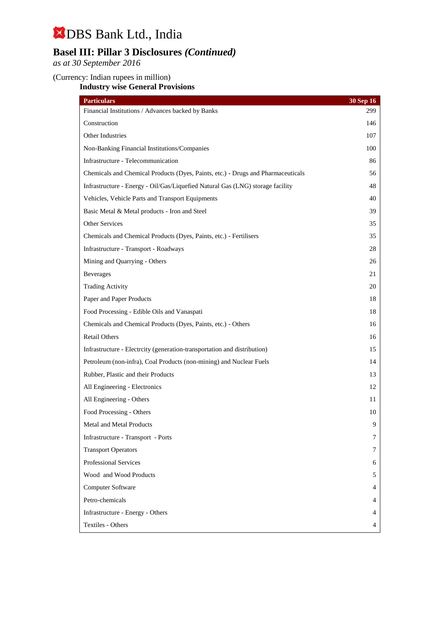## **Basel III: Pillar 3 Disclosures** *(Continued)*

*as at 30 September 2016*

#### (Currency: Indian rupees in million)

**Industry wise General Provisions**

| <b>Particulars</b>                                                               | 30 Sep 16 |
|----------------------------------------------------------------------------------|-----------|
| Financial Institutions / Advances backed by Banks                                | 299       |
| Construction                                                                     | 146       |
| Other Industries                                                                 | 107       |
| Non-Banking Financial Institutions/Companies                                     | 100       |
| Infrastructure - Telecommunication                                               | 86        |
| Chemicals and Chemical Products (Dyes, Paints, etc.) - Drugs and Pharmaceuticals | 56        |
| Infrastructure - Energy - Oil/Gas/Liquefied Natural Gas (LNG) storage facility   | 48        |
| Vehicles, Vehicle Parts and Transport Equipments                                 | 40        |
| Basic Metal & Metal products - Iron and Steel                                    | 39        |
| Other Services                                                                   | 35        |
| Chemicals and Chemical Products (Dyes, Paints, etc.) - Fertilisers               | 35        |
| Infrastructure - Transport - Roadways                                            | 28        |
| Mining and Quarrying - Others                                                    | 26        |
| <b>Beverages</b>                                                                 | 21        |
| <b>Trading Activity</b>                                                          | 20        |
| Paper and Paper Products                                                         | 18        |
| Food Processing - Edible Oils and Vanaspati                                      | 18        |
| Chemicals and Chemical Products (Dyes, Paints, etc.) - Others                    | 16        |
| <b>Retail Others</b>                                                             | 16        |
| Infrastructure - Electrcity (generation-transportation and distribution)         | 15        |
| Petroleum (non-infra), Coal Products (non-mining) and Nuclear Fuels              | 14        |
| Rubber, Plastic and their Products                                               | 13        |
| All Engineering - Electronics                                                    | 12        |
| All Engineering - Others                                                         | 11        |
| Food Processing - Others                                                         | 10        |
| Metal and Metal Products                                                         | 9         |
| Infrastructure - Transport - Ports                                               | 7         |
| <b>Transport Operators</b>                                                       | 7         |
| <b>Professional Services</b>                                                     | 6         |
| Wood and Wood Products                                                           | 5         |
| Computer Software                                                                | 4         |
| Petro-chemicals                                                                  | 4         |
| Infrastructure - Energy - Others                                                 | 4         |
| Textiles - Others                                                                | 4         |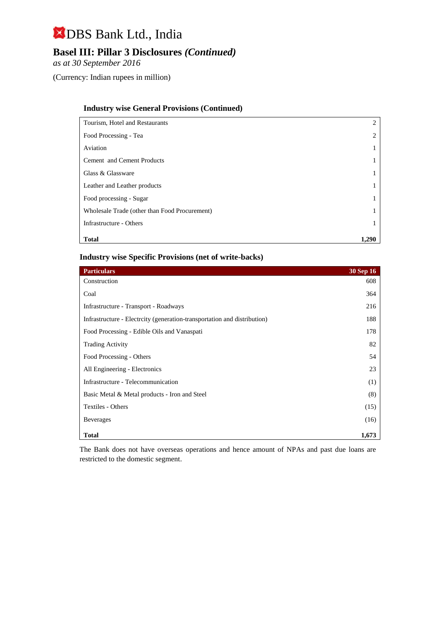## **Basel III: Pillar 3 Disclosures** *(Continued)*

*as at 30 September 2016*

(Currency: Indian rupees in million)

#### **Industry wise General Provisions (Continued)**

| Tourism, Hotel and Restaurants                | $\overline{c}$ |
|-----------------------------------------------|----------------|
| Food Processing - Tea                         | 2              |
| Aviation                                      |                |
| Cement and Cement Products                    |                |
| Glass & Glassware                             |                |
| Leather and Leather products                  |                |
| Food processing - Sugar                       |                |
| Wholesale Trade (other than Food Procurement) |                |
| Infrastructure - Others                       |                |
| <b>Total</b>                                  | 1.290          |

#### **Industry wise Specific Provisions (net of write-backs)**

| <b>Particulars</b>                                                      | $30$ Sep $16$ |
|-------------------------------------------------------------------------|---------------|
| Construction                                                            | 608           |
| Coal                                                                    | 364           |
| Infrastructure - Transport - Roadways                                   | 216           |
| Infrastructure - Electrity (generation-transportation and distribution) | 188           |
| Food Processing - Edible Oils and Vanaspati                             | 178           |
| <b>Trading Activity</b>                                                 | 82            |
| Food Processing - Others                                                | 54            |
| All Engineering - Electronics                                           | 23            |
| Infrastructure - Telecommunication                                      | (1)           |
| Basic Metal & Metal products - Iron and Steel                           | (8)           |
| Textiles - Others                                                       | (15)          |
| <b>Beverages</b>                                                        | (16)          |
| <b>Total</b>                                                            | 1,673         |

The Bank does not have overseas operations and hence amount of NPAs and past due loans are restricted to the domestic segment.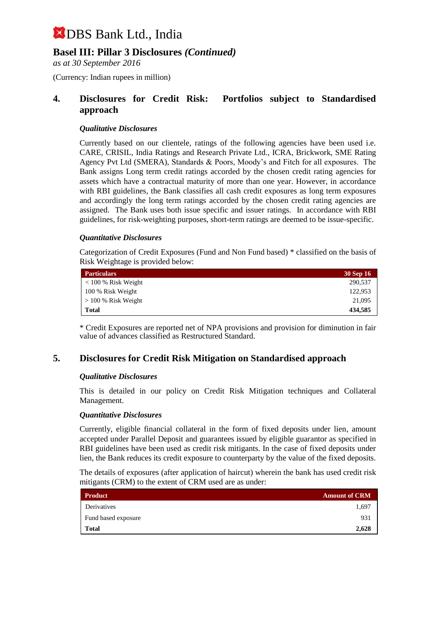## **Basel III: Pillar 3 Disclosures** *(Continued)*

*as at 30 September 2016*

(Currency: Indian rupees in million)

### **4. Disclosures for Credit Risk: Portfolios subject to Standardised approach**

#### *Qualitative Disclosures*

Currently based on our clientele, ratings of the following agencies have been used i.e. CARE, CRISIL, India Ratings and Research Private Ltd., ICRA, Brickwork, SME Rating Agency Pvt Ltd (SMERA), Standards & Poors, Moody's and Fitch for all exposures. The Bank assigns Long term credit ratings accorded by the chosen credit rating agencies for assets which have a contractual maturity of more than one year. However, in accordance with RBI guidelines, the Bank classifies all cash credit exposures as long term exposures and accordingly the long term ratings accorded by the chosen credit rating agencies are assigned. The Bank uses both issue specific and issuer ratings. In accordance with RBI guidelines, for risk-weighting purposes, short-term ratings are deemed to be issue-specific.

#### *Quantitative Disclosures*

Categorization of Credit Exposures (Fund and Non Fund based) \* classified on the basis of Risk Weightage is provided below:

| <b>Particulars</b>    | 30 Sep 16 |
|-----------------------|-----------|
| $< 100 %$ Risk Weight | 290,537   |
| 100 % Risk Weight     | 122,953   |
| $> 100\%$ Risk Weight | 21,095    |
| Total                 | 434,585   |

\* Credit Exposures are reported net of NPA provisions and provision for diminution in fair value of advances classified as Restructured Standard.

### **5. Disclosures for Credit Risk Mitigation on Standardised approach**

#### *Qualitative Disclosures*

This is detailed in our policy on Credit Risk Mitigation techniques and Collateral Management.

#### *Quantitative Disclosures*

Currently, eligible financial collateral in the form of fixed deposits under lien, amount accepted under Parallel Deposit and guarantees issued by eligible guarantor as specified in RBI guidelines have been used as credit risk mitigants. In the case of fixed deposits under lien, the Bank reduces its credit exposure to counterparty by the value of the fixed deposits.

The details of exposures (after application of haircut) wherein the bank has used credit risk mitigants (CRM) to the extent of CRM used are as under:

| <b>Product</b>      | <b>Amount of CRM</b> |
|---------------------|----------------------|
| Derivatives         | 1,697                |
| Fund based exposure | 931                  |
| <b>Total</b>        | 2,628                |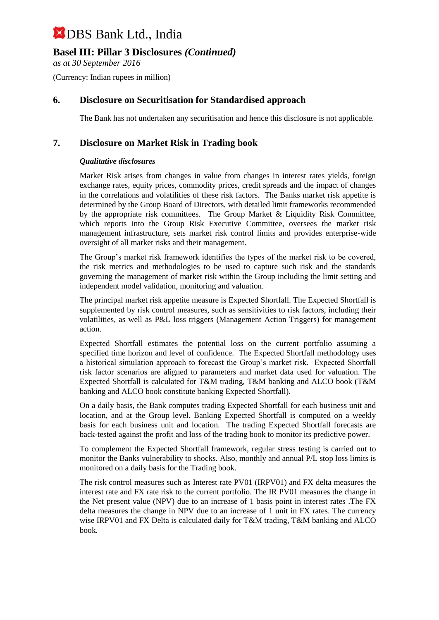## **Basel III: Pillar 3 Disclosures** *(Continued)*

*as at 30 September 2016*

(Currency: Indian rupees in million)

### **6. Disclosure on Securitisation for Standardised approach**

The Bank has not undertaken any securitisation and hence this disclosure is not applicable.

### **7. Disclosure on Market Risk in Trading book**

#### *Qualitative disclosures*

Market Risk arises from changes in value from changes in interest rates yields, foreign exchange rates, equity prices, commodity prices, credit spreads and the impact of changes in the correlations and volatilities of these risk factors. The Banks market risk appetite is determined by the Group Board of Directors, with detailed limit frameworks recommended by the appropriate risk committees. The Group Market & Liquidity Risk Committee, which reports into the Group Risk Executive Committee, oversees the market risk management infrastructure, sets market risk control limits and provides enterprise-wide oversight of all market risks and their management.

The Group's market risk framework identifies the types of the market risk to be covered, the risk metrics and methodologies to be used to capture such risk and the standards governing the management of market risk within the Group including the limit setting and independent model validation, monitoring and valuation.

The principal market risk appetite measure is Expected Shortfall. The Expected Shortfall is supplemented by risk control measures, such as sensitivities to risk factors, including their volatilities, as well as P&L loss triggers (Management Action Triggers) for management action.

Expected Shortfall estimates the potential loss on the current portfolio assuming a specified time horizon and level of confidence. The Expected Shortfall methodology uses a historical simulation approach to forecast the Group's market risk. Expected Shortfall risk factor scenarios are aligned to parameters and market data used for valuation. The Expected Shortfall is calculated for T&M trading, T&M banking and ALCO book (T&M banking and ALCO book constitute banking Expected Shortfall).

On a daily basis, the Bank computes trading Expected Shortfall for each business unit and location, and at the Group level. Banking Expected Shortfall is computed on a weekly basis for each business unit and location. The trading Expected Shortfall forecasts are back-tested against the profit and loss of the trading book to monitor its predictive power.

To complement the Expected Shortfall framework, regular stress testing is carried out to monitor the Banks vulnerability to shocks. Also, monthly and annual P/L stop loss limits is monitored on a daily basis for the Trading book.

The risk control measures such as Interest rate PV01 (IRPV01) and FX delta measures the interest rate and FX rate risk to the current portfolio. The IR PV01 measures the change in the Net present value (NPV) due to an increase of 1 basis point in interest rates .The FX delta measures the change in NPV due to an increase of 1 unit in FX rates. The currency wise IRPV01 and FX Delta is calculated daily for T&M trading, T&M banking and ALCO book.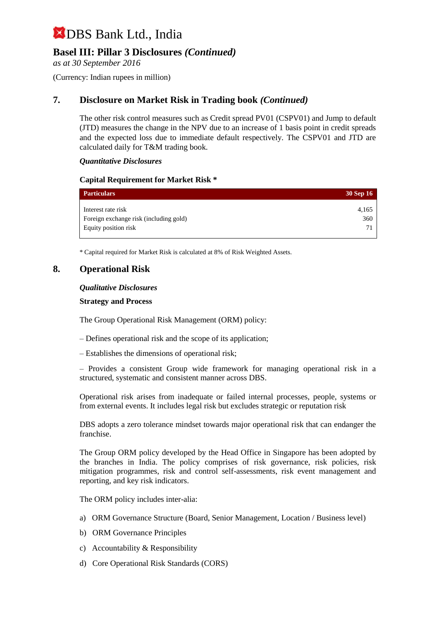## **Basel III: Pillar 3 Disclosures** *(Continued)*

*as at 30 September 2016*

(Currency: Indian rupees in million)

### **7. Disclosure on Market Risk in Trading book** *(Continued)*

The other risk control measures such as Credit spread PV01 (CSPV01) and Jump to default (JTD) measures the change in the NPV due to an increase of 1 basis point in credit spreads and the expected loss due to immediate default respectively. The CSPV01 and JTD are calculated daily for T&M trading book.

#### *Quantitative Disclosures*

#### **Capital Requirement for Market Risk \***

| <b>Particulars</b>                     | 30 Sep 16 |
|----------------------------------------|-----------|
| Interest rate risk                     | 4,165     |
| Foreign exchange risk (including gold) | 360       |
| Equity position risk                   | .7)       |

\* Capital required for Market Risk is calculated at 8% of Risk Weighted Assets.

#### **8. Operational Risk**

#### *Qualitative Disclosures*

#### **Strategy and Process**

The Group Operational Risk Management (ORM) policy:

- Defines operational risk and the scope of its application;
- Establishes the dimensions of operational risk;

– Provides a consistent Group wide framework for managing operational risk in a structured, systematic and consistent manner across DBS.

Operational risk arises from inadequate or failed internal processes, people, systems or from external events. It includes legal risk but excludes strategic or reputation risk

DBS adopts a zero tolerance mindset towards major operational risk that can endanger the franchise.

The Group ORM policy developed by the Head Office in Singapore has been adopted by the branches in India. The policy comprises of risk governance, risk policies, risk mitigation programmes, risk and control self-assessments, risk event management and reporting, and key risk indicators.

The ORM policy includes inter-alia:

- a) ORM Governance Structure (Board, Senior Management, Location / Business level)
- b) ORM Governance Principles
- c) Accountability & Responsibility
- d) Core Operational Risk Standards (CORS)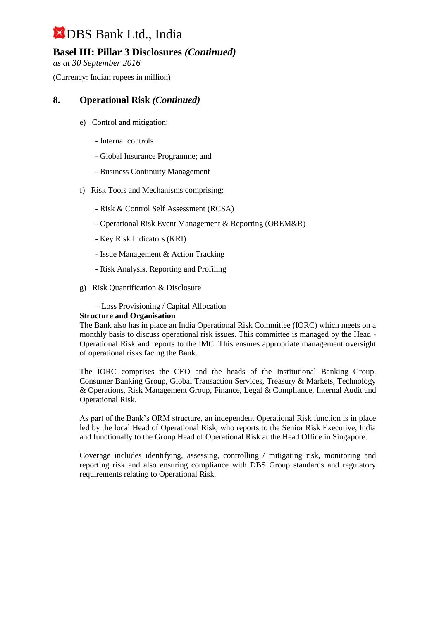## **Basel III: Pillar 3 Disclosures** *(Continued)*

*as at 30 September 2016*

(Currency: Indian rupees in million)

### **8. Operational Risk** *(Continued)*

- e) Control and mitigation:
	- Internal controls
	- Global Insurance Programme; and
	- Business Continuity Management
- f) Risk Tools and Mechanisms comprising:
	- Risk & Control Self Assessment (RCSA)
	- Operational Risk Event Management & Reporting (OREM&R)
	- Key Risk Indicators (KRI)
	- Issue Management & Action Tracking
	- Risk Analysis, Reporting and Profiling
- g) Risk Quantification & Disclosure

– Loss Provisioning / Capital Allocation

#### **Structure and Organisation**

The Bank also has in place an India Operational Risk Committee (IORC) which meets on a monthly basis to discuss operational risk issues. This committee is managed by the Head - Operational Risk and reports to the IMC. This ensures appropriate management oversight of operational risks facing the Bank.

The IORC comprises the CEO and the heads of the Institutional Banking Group, Consumer Banking Group, Global Transaction Services, Treasury & Markets, Technology & Operations, Risk Management Group, Finance, Legal & Compliance, Internal Audit and Operational Risk.

As part of the Bank's ORM structure, an independent Operational Risk function is in place led by the local Head of Operational Risk, who reports to the Senior Risk Executive, India and functionally to the Group Head of Operational Risk at the Head Office in Singapore.

Coverage includes identifying, assessing, controlling / mitigating risk, monitoring and reporting risk and also ensuring compliance with DBS Group standards and regulatory requirements relating to Operational Risk.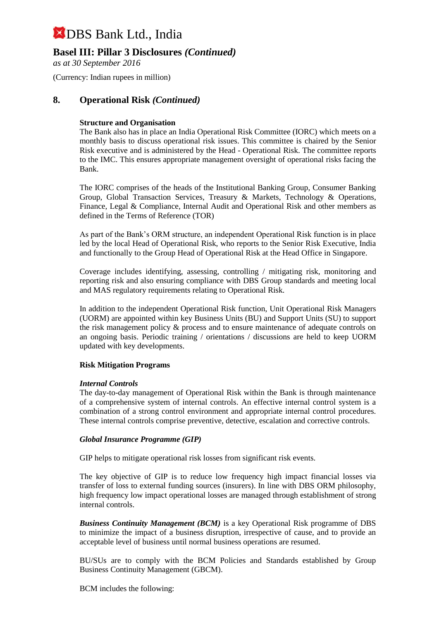### **Basel III: Pillar 3 Disclosures** *(Continued)*

*as at 30 September 2016*

(Currency: Indian rupees in million)

#### **8. Operational Risk** *(Continued)*

#### **Structure and Organisation**

The Bank also has in place an India Operational Risk Committee (IORC) which meets on a monthly basis to discuss operational risk issues. This committee is chaired by the Senior Risk executive and is administered by the Head - Operational Risk. The committee reports to the IMC. This ensures appropriate management oversight of operational risks facing the Bank.

The IORC comprises of the heads of the Institutional Banking Group, Consumer Banking Group, Global Transaction Services, Treasury & Markets, Technology & Operations, Finance, Legal & Compliance, Internal Audit and Operational Risk and other members as defined in the Terms of Reference (TOR)

As part of the Bank's ORM structure, an independent Operational Risk function is in place led by the local Head of Operational Risk, who reports to the Senior Risk Executive, India and functionally to the Group Head of Operational Risk at the Head Office in Singapore.

Coverage includes identifying, assessing, controlling / mitigating risk, monitoring and reporting risk and also ensuring compliance with DBS Group standards and meeting local and MAS regulatory requirements relating to Operational Risk.

In addition to the independent Operational Risk function, Unit Operational Risk Managers (UORM) are appointed within key Business Units (BU) and Support Units (SU) to support the risk management policy & process and to ensure maintenance of adequate controls on an ongoing basis. Periodic training / orientations / discussions are held to keep UORM updated with key developments.

#### **Risk Mitigation Programs**

#### *Internal Controls*

The day-to-day management of Operational Risk within the Bank is through maintenance of a comprehensive system of internal controls. An effective internal control system is a combination of a strong control environment and appropriate internal control procedures. These internal controls comprise preventive, detective, escalation and corrective controls.

#### *Global Insurance Programme (GIP)*

GIP helps to mitigate operational risk losses from significant risk events.

The key objective of GIP is to reduce low frequency high impact financial losses via transfer of loss to external funding sources (insurers). In line with DBS ORM philosophy, high frequency low impact operational losses are managed through establishment of strong internal controls.

*Business Continuity Management (BCM)* is a key Operational Risk programme of DBS to minimize the impact of a business disruption, irrespective of cause, and to provide an acceptable level of business until normal business operations are resumed.

BU/SUs are to comply with the BCM Policies and Standards established by Group Business Continuity Management (GBCM).

BCM includes the following: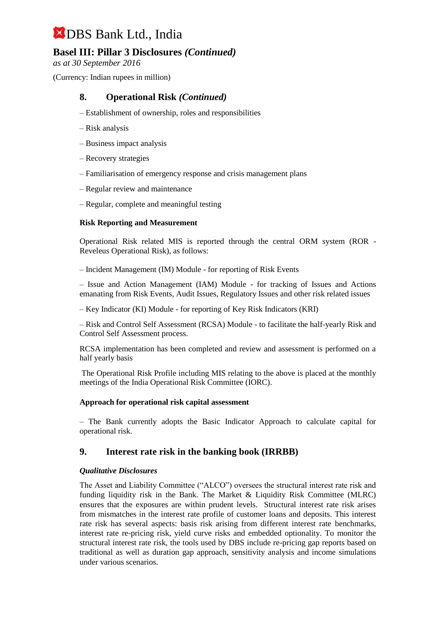## **Basel III: Pillar 3 Disclosures** *(Continued)*

*as at 30 September 2016*

(Currency: Indian rupees in million)

### **8. Operational Risk** *(Continued)*

- Establishment of ownership, roles and responsibilities
- Risk analysis
- Business impact analysis
- Recovery strategies
- Familiarisation of emergency response and crisis management plans
- Regular review and maintenance
- Regular, complete and meaningful testing

#### **Risk Reporting and Measurement**

Operational Risk related MIS is reported through the central ORM system (ROR - Reveleus Operational Risk), as follows:

– Incident Management (IM) Module - for reporting of Risk Events

– Issue and Action Management (IAM) Module - for tracking of Issues and Actions emanating from Risk Events, Audit Issues, Regulatory Issues and other risk related issues

– Key Indicator (KI) Module - for reporting of Key Risk Indicators (KRI)

– Risk and Control Self Assessment (RCSA) Module - to facilitate the half-yearly Risk and Control Self Assessment process.

RCSA implementation has been completed and review and assessment is performed on a half yearly basis

The Operational Risk Profile including MIS relating to the above is placed at the monthly meetings of the India Operational Risk Committee (IORC).

#### **Approach for operational risk capital assessment**

– The Bank currently adopts the Basic Indicator Approach to calculate capital for operational risk.

#### **9. Interest rate risk in the banking book (IRRBB)**

#### *Qualitative Disclosures*

The Asset and Liability Committee ("ALCO") oversees the structural interest rate risk and funding liquidity risk in the Bank. The Market & Liquidity Risk Committee (MLRC) ensures that the exposures are within prudent levels. Structural interest rate risk arises from mismatches in the interest rate profile of customer loans and deposits. This interest rate risk has several aspects: basis risk arising from different interest rate benchmarks, interest rate re-pricing risk, yield curve risks and embedded optionality. To monitor the structural interest rate risk, the tools used by DBS include re-pricing gap reports based on traditional as well as duration gap approach, sensitivity analysis and income simulations under various scenarios.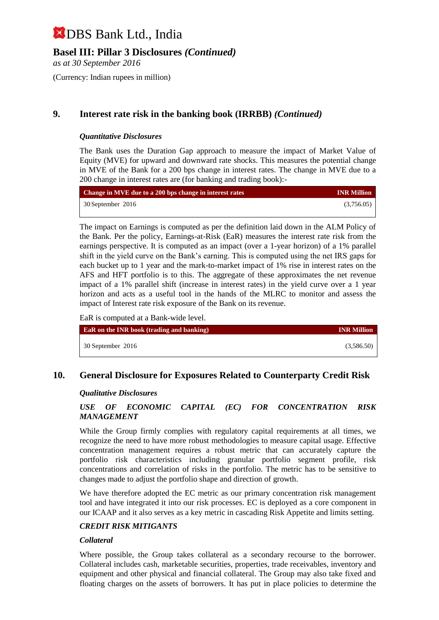## **Basel III: Pillar 3 Disclosures** *(Continued)*

*as at 30 September 2016*

(Currency: Indian rupees in million)

## **9. Interest rate risk in the banking book (IRRBB)** *(Continued)*

#### *Quantitative Disclosures*

The Bank uses the Duration Gap approach to measure the impact of Market Value of Equity (MVE) for upward and downward rate shocks. This measures the potential change in MVE of the Bank for a 200 bps change in interest rates. The change in MVE due to a 200 change in interest rates are (for banking and trading book):-

| Change in MVE due to a 200 bps change in interest rates | <b>INR Million</b> |
|---------------------------------------------------------|--------------------|
| 30 September 2016                                       | (3,756.05)         |

The impact on Earnings is computed as per the definition laid down in the ALM Policy of the Bank. Per the policy, Earnings-at-Risk (EaR) measures the interest rate risk from the earnings perspective. It is computed as an impact (over a 1-year horizon) of a 1% parallel shift in the yield curve on the Bank's earning. This is computed using the net IRS gaps for each bucket up to 1 year and the mark-to-market impact of 1% rise in interest rates on the AFS and HFT portfolio is to this. The aggregate of these approximates the net revenue impact of a 1% parallel shift (increase in interest rates) in the yield curve over a 1 year horizon and acts as a useful tool in the hands of the MLRC to monitor and assess the impact of Interest rate risk exposure of the Bank on its revenue.

EaR is computed at a Bank-wide level.

| <b>EaR</b> on the INR book (trading and banking) | <b>INR Million</b> |
|--------------------------------------------------|--------------------|
| 30 September 2016                                | (3,586.50)         |

## **10. General Disclosure for Exposures Related to Counterparty Credit Risk**

#### *Qualitative Disclosures*

#### *USE OF ECONOMIC CAPITAL (EC) FOR CONCENTRATION RISK MANAGEMENT*

While the Group firmly complies with regulatory capital requirements at all times, we recognize the need to have more robust methodologies to measure capital usage. Effective concentration management requires a robust metric that can accurately capture the portfolio risk characteristics including granular portfolio segment profile, risk concentrations and correlation of risks in the portfolio. The metric has to be sensitive to changes made to adjust the portfolio shape and direction of growth.

We have therefore adopted the EC metric as our primary concentration risk management tool and have integrated it into our risk processes. EC is deployed as a core component in our ICAAP and it also serves as a key metric in cascading Risk Appetite and limits setting.

#### *CREDIT RISK MITIGANTS*

#### *Collateral*

Where possible, the Group takes collateral as a secondary recourse to the borrower. Collateral includes cash, marketable securities, properties, trade receivables, inventory and equipment and other physical and financial collateral. The Group may also take fixed and floating charges on the assets of borrowers. It has put in place policies to determine the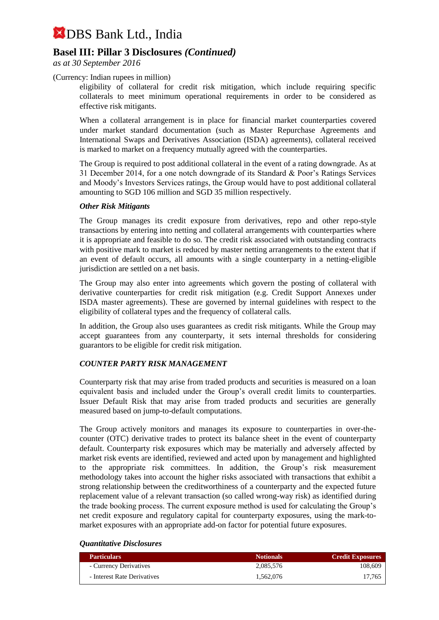## **Basel III: Pillar 3 Disclosures** *(Continued)*

*as at 30 September 2016*

#### (Currency: Indian rupees in million)

eligibility of collateral for credit risk mitigation, which include requiring specific collaterals to meet minimum operational requirements in order to be considered as effective risk mitigants.

When a collateral arrangement is in place for financial market counterparties covered under market standard documentation (such as Master Repurchase Agreements and International Swaps and Derivatives Association (ISDA) agreements), collateral received is marked to market on a frequency mutually agreed with the counterparties.

The Group is required to post additional collateral in the event of a rating downgrade. As at 31 December 2014, for a one notch downgrade of its Standard & Poor's Ratings Services and Moody's Investors Services ratings, the Group would have to post additional collateral amounting to SGD 106 million and SGD 35 million respectively.

#### *Other Risk Mitigants*

The Group manages its credit exposure from derivatives, repo and other repo-style transactions by entering into netting and collateral arrangements with counterparties where it is appropriate and feasible to do so. The credit risk associated with outstanding contracts with positive mark to market is reduced by master netting arrangements to the extent that if an event of default occurs, all amounts with a single counterparty in a netting-eligible jurisdiction are settled on a net basis.

The Group may also enter into agreements which govern the posting of collateral with derivative counterparties for credit risk mitigation (e.g. Credit Support Annexes under ISDA master agreements). These are governed by internal guidelines with respect to the eligibility of collateral types and the frequency of collateral calls.

In addition, the Group also uses guarantees as credit risk mitigants. While the Group may accept guarantees from any counterparty, it sets internal thresholds for considering guarantors to be eligible for credit risk mitigation.

#### *COUNTER PARTY RISK MANAGEMENT*

Counterparty risk that may arise from traded products and securities is measured on a loan equivalent basis and included under the Group's overall credit limits to counterparties. Issuer Default Risk that may arise from traded products and securities are generally measured based on jump-to-default computations.

The Group actively monitors and manages its exposure to counterparties in over-thecounter (OTC) derivative trades to protect its balance sheet in the event of counterparty default. Counterparty risk exposures which may be materially and adversely affected by market risk events are identified, reviewed and acted upon by management and highlighted to the appropriate risk committees. In addition, the Group's risk measurement methodology takes into account the higher risks associated with transactions that exhibit a strong relationship between the creditworthiness of a counterparty and the expected future replacement value of a relevant transaction (so called wrong-way risk) as identified during the trade booking process. The current exposure method is used for calculating the Group's net credit exposure and regulatory capital for counterparty exposures, using the mark-tomarket exposures with an appropriate add-on factor for potential future exposures.

#### *Quantitative Disclosures*

| <b>Particulars</b>          | <b>Notionals</b> | <b>Credit Exposures</b> |
|-----------------------------|------------------|-------------------------|
| - Currency Derivatives      | 2.085.576        | 108,609                 |
| - Interest Rate Derivatives | 1.562.076        | 17.765                  |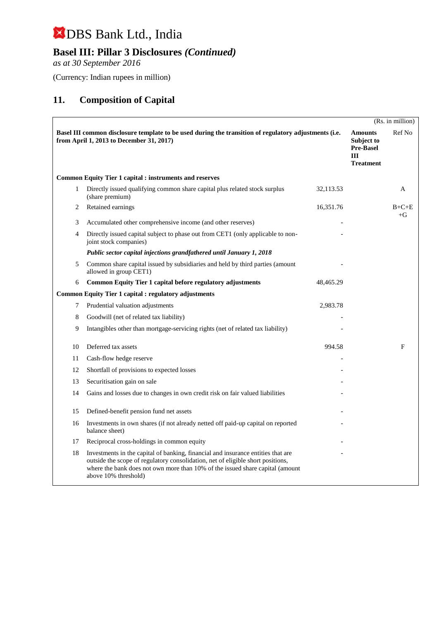## **Basel III: Pillar 3 Disclosures** *(Continued)*

*as at 30 September 2016*

(Currency: Indian rupees in million)

## **11. Composition of Capital**

|    |                                                                                                                                                                                                                                                                              |           |                                                                             | (Rs. in million) |
|----|------------------------------------------------------------------------------------------------------------------------------------------------------------------------------------------------------------------------------------------------------------------------------|-----------|-----------------------------------------------------------------------------|------------------|
|    | Basel III common disclosure template to be used during the transition of regulatory adjustments (i.e.<br>from April 1, 2013 to December 31, 2017)                                                                                                                            |           | <b>Amounts</b><br>Subject to<br><b>Pre-Basel</b><br>III<br><b>Treatment</b> | Ref No           |
|    | <b>Common Equity Tier 1 capital : instruments and reserves</b>                                                                                                                                                                                                               |           |                                                                             |                  |
| 1  | Directly issued qualifying common share capital plus related stock surplus<br>(share premium)                                                                                                                                                                                | 32,113.53 |                                                                             | A                |
| 2  | Retained earnings                                                                                                                                                                                                                                                            | 16,351.76 |                                                                             | $B+C+E$<br>$+G$  |
| 3  | Accumulated other comprehensive income (and other reserves)                                                                                                                                                                                                                  |           |                                                                             |                  |
| 4  | Directly issued capital subject to phase out from CET1 (only applicable to non-<br>joint stock companies)                                                                                                                                                                    |           |                                                                             |                  |
|    | Public sector capital injections grandfathered until January 1, 2018                                                                                                                                                                                                         |           |                                                                             |                  |
| 5  | Common share capital issued by subsidiaries and held by third parties (amount<br>allowed in group CET1)                                                                                                                                                                      |           |                                                                             |                  |
| 6  | Common Equity Tier 1 capital before regulatory adjustments                                                                                                                                                                                                                   | 48,465.29 |                                                                             |                  |
|    | <b>Common Equity Tier 1 capital : regulatory adjustments</b>                                                                                                                                                                                                                 |           |                                                                             |                  |
| 7  | Prudential valuation adjustments                                                                                                                                                                                                                                             | 2,983.78  |                                                                             |                  |
| 8  | Goodwill (net of related tax liability)                                                                                                                                                                                                                                      |           |                                                                             |                  |
| 9  | Intangibles other than mortgage-servicing rights (net of related tax liability)                                                                                                                                                                                              |           |                                                                             |                  |
| 10 | Deferred tax assets                                                                                                                                                                                                                                                          | 994.58    |                                                                             | F                |
| 11 | Cash-flow hedge reserve                                                                                                                                                                                                                                                      |           |                                                                             |                  |
| 12 | Shortfall of provisions to expected losses                                                                                                                                                                                                                                   |           |                                                                             |                  |
| 13 | Securitisation gain on sale                                                                                                                                                                                                                                                  |           |                                                                             |                  |
| 14 | Gains and losses due to changes in own credit risk on fair valued liabilities                                                                                                                                                                                                |           |                                                                             |                  |
| 15 | Defined-benefit pension fund net assets                                                                                                                                                                                                                                      |           |                                                                             |                  |
| 16 | Investments in own shares (if not already netted off paid-up capital on reported<br>balance sheet)                                                                                                                                                                           |           |                                                                             |                  |
| 17 | Reciprocal cross-holdings in common equity                                                                                                                                                                                                                                   |           |                                                                             |                  |
| 18 | Investments in the capital of banking, financial and insurance entities that are<br>outside the scope of regulatory consolidation, net of eligible short positions,<br>where the bank does not own more than 10% of the issued share capital (amount<br>above 10% threshold) |           |                                                                             |                  |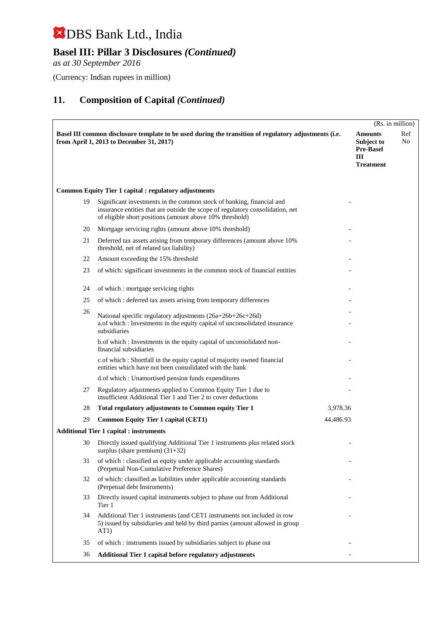## **Basel III: Pillar 3 Disclosures** *(Continued)*

*as at 30 September 2016*

(Currency: Indian rupees in million)

|    |                                                                                                                                                                                                                     |           |                                                                           | (Rs. in million) |
|----|---------------------------------------------------------------------------------------------------------------------------------------------------------------------------------------------------------------------|-----------|---------------------------------------------------------------------------|------------------|
|    | Basel III common disclosure template to be used during the transition of regulatory adjustments (i.e.<br>from April 1, 2013 to December 31, 2017)                                                                   |           | <b>Amounts</b><br>Subject to<br><b>Pre-Basel</b><br>Ш<br><b>Treatment</b> | Ref<br>No        |
|    | <b>Common Equity Tier 1 capital : regulatory adjustments</b>                                                                                                                                                        |           |                                                                           |                  |
| 19 | Significant investments in the common stock of banking, financial and<br>insurance entities that are outside the scope of regulatory consolidation, net<br>of eligible short positions (amount above 10% threshold) |           |                                                                           |                  |
| 20 | Mortgage servicing rights (amount above 10% threshold)                                                                                                                                                              |           |                                                                           |                  |
| 21 | Deferred tax assets arising from temporary differences (amount above 10%)<br>threshold, net of related tax liability)                                                                                               |           |                                                                           |                  |
| 22 | Amount exceeding the 15% threshold                                                                                                                                                                                  |           |                                                                           |                  |
| 23 | of which: significant investments in the common stock of financial entities                                                                                                                                         |           |                                                                           |                  |
| 24 | of which : mortgage servicing rights                                                                                                                                                                                |           |                                                                           |                  |
| 25 | of which: deferred tax assets arising from temporary differences                                                                                                                                                    |           |                                                                           |                  |
| 26 | National specific regulatory adjustments (26a+26b+26c+26d)<br>a.of which : Investments in the equity capital of unconsolidated insurance<br>subsidiaries                                                            |           |                                                                           |                  |
|    | b.of which : Investments in the equity capital of unconsolidated non-<br>financial subsidiaries                                                                                                                     |           |                                                                           |                  |
|    | c.of which : Shortfall in the equity capital of majority owned financial<br>entities which have not been consolidated with the bank                                                                                 |           |                                                                           |                  |
|    | d.of which: Unamortised pension funds expenditures                                                                                                                                                                  |           |                                                                           |                  |
| 27 | Regulatory adjustments applied to Common Equity Tier 1 due to<br>insufficient Additional Tier 1 and Tier 2 to cover deductions                                                                                      |           |                                                                           |                  |
| 28 | Total regulatory adjustments to Common equity Tier 1                                                                                                                                                                | 3,978.36  |                                                                           |                  |
| 29 | <b>Common Equity Tier 1 capital (CET1)</b>                                                                                                                                                                          | 44,486.93 |                                                                           |                  |
|    | <b>Additional Tier 1 capital : instruments</b>                                                                                                                                                                      |           |                                                                           |                  |
| 30 | Directly issued qualifying Additional Tier 1 instruments plus related stock<br>surplus (share premium) $(31+32)$                                                                                                    |           |                                                                           |                  |
| 31 | of which : classified as equity under applicable accounting standards<br>(Perpetual Non-Cumulative Preference Shares)                                                                                               |           |                                                                           |                  |
| 32 | of which: classified as liabilities under applicable accounting standards<br>(Perpetual debt Instruments)                                                                                                           |           |                                                                           |                  |
| 33 | Directly issued capital instruments subject to phase out from Additional<br>Tier 1                                                                                                                                  |           |                                                                           |                  |
| 34 | Additional Tier 1 instruments (and CET1 instruments not included in row<br>5) issued by subsidiaries and held by third parties (amount allowed in group<br>AT <sub>1</sub> )                                        |           |                                                                           |                  |
| 35 | of which : instruments issued by subsidiaries subject to phase out                                                                                                                                                  |           |                                                                           |                  |
| 36 | Additional Tier 1 capital before regulatory adjustments                                                                                                                                                             |           |                                                                           |                  |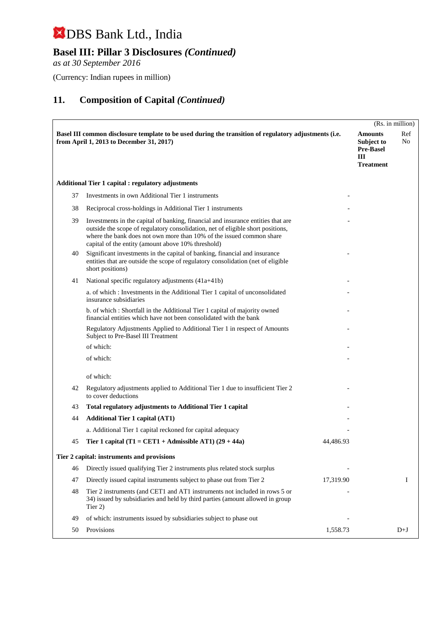## **Basel III: Pillar 3 Disclosures** *(Continued)*

*as at 30 September 2016*

(Currency: Indian rupees in million)

|    |                                                                                                                                                                                                                                                                                                   |           | (Rs. in million)                                                                  |
|----|---------------------------------------------------------------------------------------------------------------------------------------------------------------------------------------------------------------------------------------------------------------------------------------------------|-----------|-----------------------------------------------------------------------------------|
|    | Basel III common disclosure template to be used during the transition of regulatory adjustments (i.e.<br>from April 1, 2013 to December 31, 2017)                                                                                                                                                 | III       | Ref<br><b>Amounts</b><br>No<br>Subject to<br><b>Pre-Basel</b><br><b>Treatment</b> |
|    | <b>Additional Tier 1 capital : regulatory adjustments</b>                                                                                                                                                                                                                                         |           |                                                                                   |
| 37 | Investments in own Additional Tier 1 instruments                                                                                                                                                                                                                                                  |           |                                                                                   |
| 38 | Reciprocal cross-holdings in Additional Tier 1 instruments                                                                                                                                                                                                                                        |           |                                                                                   |
| 39 | Investments in the capital of banking, financial and insurance entities that are<br>outside the scope of regulatory consolidation, net of eligible short positions,<br>where the bank does not own more than 10% of the issued common share<br>capital of the entity (amount above 10% threshold) |           |                                                                                   |
| 40 | Significant investments in the capital of banking, financial and insurance<br>entities that are outside the scope of regulatory consolidation (net of eligible<br>short positions)                                                                                                                |           |                                                                                   |
| 41 | National specific regulatory adjustments (41a+41b)                                                                                                                                                                                                                                                |           |                                                                                   |
|    | a. of which: Investments in the Additional Tier 1 capital of unconsolidated<br>insurance subsidiaries                                                                                                                                                                                             |           |                                                                                   |
|    | b. of which: Shortfall in the Additional Tier 1 capital of majority owned<br>financial entities which have not been consolidated with the bank                                                                                                                                                    |           |                                                                                   |
|    | Regulatory Adjustments Applied to Additional Tier 1 in respect of Amounts<br>Subject to Pre-Basel III Treatment                                                                                                                                                                                   |           |                                                                                   |
|    | of which:                                                                                                                                                                                                                                                                                         |           |                                                                                   |
|    | of which:                                                                                                                                                                                                                                                                                         |           |                                                                                   |
|    | of which:                                                                                                                                                                                                                                                                                         |           |                                                                                   |
| 42 | Regulatory adjustments applied to Additional Tier 1 due to insufficient Tier 2<br>to cover deductions                                                                                                                                                                                             |           |                                                                                   |
| 43 | <b>Total regulatory adjustments to Additional Tier 1 capital</b>                                                                                                                                                                                                                                  |           |                                                                                   |
| 44 | <b>Additional Tier 1 capital (AT1)</b>                                                                                                                                                                                                                                                            |           |                                                                                   |
|    | a. Additional Tier 1 capital reckoned for capital adequacy                                                                                                                                                                                                                                        |           |                                                                                   |
| 45 | Tier 1 capital (T1 = CET1 + Admissible AT1) $(29 + 44a)$                                                                                                                                                                                                                                          | 44,486.93 |                                                                                   |
|    | Tier 2 capital: instruments and provisions                                                                                                                                                                                                                                                        |           |                                                                                   |
| 46 | Directly issued qualifying Tier 2 instruments plus related stock surplus                                                                                                                                                                                                                          |           |                                                                                   |
| 47 | Directly issued capital instruments subject to phase out from Tier 2                                                                                                                                                                                                                              | 17,319.90 | I                                                                                 |
| 48 | Tier 2 instruments (and CET1 and AT1 instruments not included in rows 5 or<br>34) issued by subsidiaries and held by third parties (amount allowed in group<br>Tier 2)                                                                                                                            |           |                                                                                   |
| 49 | of which: instruments issued by subsidiaries subject to phase out                                                                                                                                                                                                                                 |           |                                                                                   |
| 50 | Provisions                                                                                                                                                                                                                                                                                        | 1,558.73  | $D+J$                                                                             |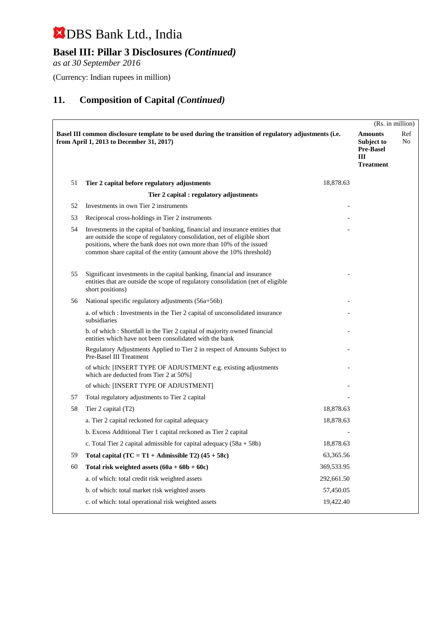## **Basel III: Pillar 3 Disclosures** *(Continued)*

*as at 30 September 2016*

(Currency: Indian rupees in million)

|    |                                                                                                                                                                                                                                                                                                       |            | (Rs. in million)                                                          |           |
|----|-------------------------------------------------------------------------------------------------------------------------------------------------------------------------------------------------------------------------------------------------------------------------------------------------------|------------|---------------------------------------------------------------------------|-----------|
|    | Basel III common disclosure template to be used during the transition of regulatory adjustments (i.e.<br>from April 1, 2013 to December 31, 2017)                                                                                                                                                     |            | <b>Amounts</b><br>Subject to<br><b>Pre-Basel</b><br>Ш<br><b>Treatment</b> | Ref<br>No |
| 51 | Tier 2 capital before regulatory adjustments                                                                                                                                                                                                                                                          | 18,878.63  |                                                                           |           |
|    | Tier 2 capital : regulatory adjustments                                                                                                                                                                                                                                                               |            |                                                                           |           |
| 52 | Investments in own Tier 2 instruments                                                                                                                                                                                                                                                                 |            |                                                                           |           |
| 53 | Reciprocal cross-holdings in Tier 2 instruments                                                                                                                                                                                                                                                       |            |                                                                           |           |
| 54 | Investments in the capital of banking, financial and insurance entities that<br>are outside the scope of regulatory consolidation, net of eligible short<br>positions, where the bank does not own more than 10% of the issued<br>common share capital of the entity (amount above the 10% threshold) |            |                                                                           |           |
| 55 | Significant investments in the capital banking, financial and insurance<br>entities that are outside the scope of regulatory consolidation (net of eligible<br>short positions)                                                                                                                       |            |                                                                           |           |
| 56 | National specific regulatory adjustments (56a+56b)                                                                                                                                                                                                                                                    |            |                                                                           |           |
|    | a. of which: Investments in the Tier 2 capital of unconsolidated insurance<br>subsidiaries                                                                                                                                                                                                            |            |                                                                           |           |
|    | b. of which: Shortfall in the Tier 2 capital of majority owned financial<br>entities which have not been consolidated with the bank                                                                                                                                                                   |            |                                                                           |           |
|    | Regulatory Adjustments Applied to Tier 2 in respect of Amounts Subject to<br>Pre-Basel III Treatment                                                                                                                                                                                                  |            |                                                                           |           |
|    | of which: [INSERT TYPE OF ADJUSTMENT e.g. existing adjustments<br>which are deducted from Tier 2 at 50%]                                                                                                                                                                                              |            |                                                                           |           |
|    | of which: [INSERT TYPE OF ADJUSTMENT]                                                                                                                                                                                                                                                                 |            |                                                                           |           |
| 57 | Total regulatory adjustments to Tier 2 capital                                                                                                                                                                                                                                                        |            |                                                                           |           |
| 58 | Tier 2 capital (T2)                                                                                                                                                                                                                                                                                   | 18,878.63  |                                                                           |           |
|    | a. Tier 2 capital reckoned for capital adequacy                                                                                                                                                                                                                                                       | 18,878.63  |                                                                           |           |
|    | b. Excess Additional Tier 1 capital reckoned as Tier 2 capital                                                                                                                                                                                                                                        |            |                                                                           |           |
|    | c. Total Tier 2 capital admissible for capital adequacy $(58a + 58b)$                                                                                                                                                                                                                                 | 18,878.63  |                                                                           |           |
| 59 | Total capital $(TC = T1 + \text{Admissible } T2)$ (45 + 58c)                                                                                                                                                                                                                                          | 63,365.56  |                                                                           |           |
| 60 | Total risk weighted assets $(60a + 60b + 60c)$                                                                                                                                                                                                                                                        | 369,533.95 |                                                                           |           |
|    | a. of which: total credit risk weighted assets                                                                                                                                                                                                                                                        | 292,661.50 |                                                                           |           |
|    | b. of which: total market risk weighted assets                                                                                                                                                                                                                                                        | 57,450.05  |                                                                           |           |
|    | c. of which: total operational risk weighted assets                                                                                                                                                                                                                                                   | 19,422.40  |                                                                           |           |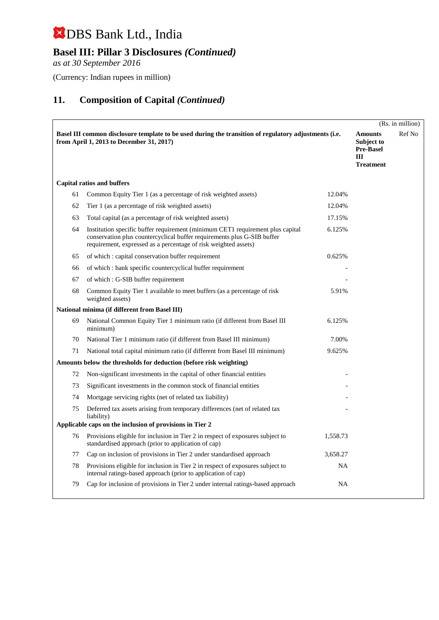## **Basel III: Pillar 3 Disclosures** *(Continued)*

*as at 30 September 2016*

(Currency: Indian rupees in million)

|    |                                                                                                                                                                                                                              |          |                                                                             | (Rs. in million) |
|----|------------------------------------------------------------------------------------------------------------------------------------------------------------------------------------------------------------------------------|----------|-----------------------------------------------------------------------------|------------------|
|    | Basel III common disclosure template to be used during the transition of regulatory adjustments (i.e.<br>from April 1, 2013 to December 31, 2017)                                                                            |          | <b>Amounts</b><br>Subject to<br><b>Pre-Basel</b><br>III<br><b>Treatment</b> | Ref No           |
|    | <b>Capital ratios and buffers</b>                                                                                                                                                                                            |          |                                                                             |                  |
| 61 | Common Equity Tier 1 (as a percentage of risk weighted assets)                                                                                                                                                               | 12.04%   |                                                                             |                  |
| 62 | Tier 1 (as a percentage of risk weighted assets)                                                                                                                                                                             | 12.04%   |                                                                             |                  |
| 63 | Total capital (as a percentage of risk weighted assets)                                                                                                                                                                      | 17.15%   |                                                                             |                  |
| 64 | Institution specific buffer requirement (minimum CET1 requirement plus capital<br>conservation plus countercyclical buffer requirements plus G-SIB buffer<br>requirement, expressed as a percentage of risk weighted assets) | 6.125%   |                                                                             |                  |
| 65 | of which: capital conservation buffer requirement                                                                                                                                                                            | 0.625%   |                                                                             |                  |
| 66 | of which: bank specific countercyclical buffer requirement                                                                                                                                                                   |          |                                                                             |                  |
| 67 | of which: G-SIB buffer requirement                                                                                                                                                                                           |          |                                                                             |                  |
| 68 | Common Equity Tier 1 available to meet buffers (as a percentage of risk<br>weighted assets)                                                                                                                                  | 5.91%    |                                                                             |                  |
|    | National minima (if different from Basel III)                                                                                                                                                                                |          |                                                                             |                  |
| 69 | National Common Equity Tier 1 minimum ratio (if different from Basel III<br>minimum)                                                                                                                                         | 6.125%   |                                                                             |                  |
| 70 | National Tier 1 minimum ratio (if different from Basel III minimum)                                                                                                                                                          | 7.00%    |                                                                             |                  |
| 71 | National total capital minimum ratio (if different from Basel III minimum)                                                                                                                                                   | 9.625%   |                                                                             |                  |
|    | Amounts below the thresholds for deduction (before risk weighting)                                                                                                                                                           |          |                                                                             |                  |
| 72 | Non-significant investments in the capital of other financial entities                                                                                                                                                       |          |                                                                             |                  |
| 73 | Significant investments in the common stock of financial entities                                                                                                                                                            |          |                                                                             |                  |
| 74 | Mortgage servicing rights (net of related tax liability)                                                                                                                                                                     |          |                                                                             |                  |
| 75 | Deferred tax assets arising from temporary differences (net of related tax<br>liability)                                                                                                                                     |          |                                                                             |                  |
|    | Applicable caps on the inclusion of provisions in Tier 2                                                                                                                                                                     |          |                                                                             |                  |
| 76 | Provisions eligible for inclusion in Tier 2 in respect of exposures subject to<br>standardised approach (prior to application of cap)                                                                                        | 1,558.73 |                                                                             |                  |
| 77 | Cap on inclusion of provisions in Tier 2 under standardised approach                                                                                                                                                         | 3,658.27 |                                                                             |                  |
| 78 | Provisions eligible for inclusion in Tier 2 in respect of exposures subject to<br>internal ratings-based approach (prior to application of cap)                                                                              | NA       |                                                                             |                  |
| 79 | Cap for inclusion of provisions in Tier 2 under internal ratings-based approach                                                                                                                                              | NA       |                                                                             |                  |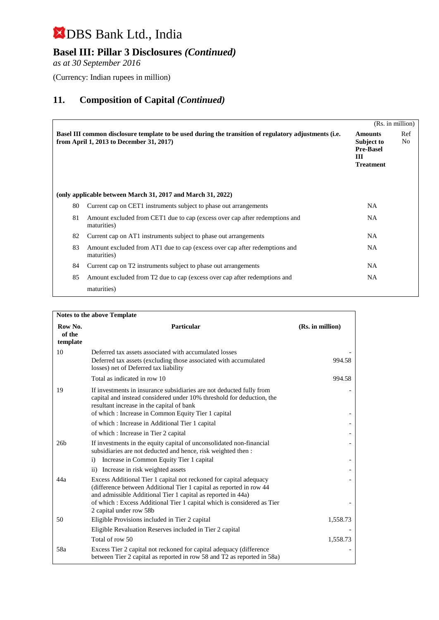## **Basel III: Pillar 3 Disclosures** *(Continued)*

*as at 30 September 2016*

(Currency: Indian rupees in million)

|    |                                                                                                                                                   |                                                                           | (Rs. in million) |
|----|---------------------------------------------------------------------------------------------------------------------------------------------------|---------------------------------------------------------------------------|------------------|
|    | Basel III common disclosure template to be used during the transition of regulatory adjustments (i.e.<br>from April 1, 2013 to December 31, 2017) | <b>Amounts</b><br>Subject to<br><b>Pre-Basel</b><br>Ш<br><b>Treatment</b> | Ref<br>No        |
|    | (only applicable between March 31, 2017 and March 31, 2022)                                                                                       |                                                                           |                  |
| 80 | Current cap on CET1 instruments subject to phase out arrangements                                                                                 | <b>NA</b>                                                                 |                  |
| 81 | Amount excluded from CET1 due to cap (excess over cap after redemptions and<br>maturities)                                                        | NA.                                                                       |                  |
| 82 | Current cap on AT1 instruments subject to phase out arrangements                                                                                  | NA.                                                                       |                  |
| 83 | Amount excluded from AT1 due to cap (excess over cap after redemptions and<br>maturities)                                                         | NA.                                                                       |                  |
| 84 | Current cap on T2 instruments subject to phase out arrangements                                                                                   | NA.                                                                       |                  |
| 85 | Amount excluded from T2 due to cap (excess over cap after redemptions and                                                                         | <b>NA</b>                                                                 |                  |
|    | maturities)                                                                                                                                       |                                                                           |                  |

| <b>Notes to the above Template</b> |                                                                                                                                                                                                                                                  |                  |  |
|------------------------------------|--------------------------------------------------------------------------------------------------------------------------------------------------------------------------------------------------------------------------------------------------|------------------|--|
| Row No.<br>of the<br>template      | Particular                                                                                                                                                                                                                                       | (Rs. in million) |  |
| 10                                 | Deferred tax assets associated with accumulated losses<br>Deferred tax assets (excluding those associated with accumulated<br>losses) net of Deferred tax liability                                                                              | 994.58           |  |
|                                    | Total as indicated in row 10                                                                                                                                                                                                                     | 994.58           |  |
| 19                                 | If investments in insurance subsidiaries are not deducted fully from<br>capital and instead considered under 10% threshold for deduction, the<br>resultant increase in the capital of bank<br>of which: Increase in Common Equity Tier 1 capital |                  |  |
|                                    | of which: Increase in Additional Tier 1 capital                                                                                                                                                                                                  |                  |  |
|                                    | of which: Increase in Tier 2 capital                                                                                                                                                                                                             |                  |  |
| 26 <sub>b</sub>                    | If investments in the equity capital of unconsolidated non-financial<br>subsidiaries are not deducted and hence, risk weighted then :                                                                                                            |                  |  |
|                                    | Increase in Common Equity Tier 1 capital<br>$\mathbf{i}$                                                                                                                                                                                         |                  |  |
|                                    | ii) Increase in risk weighted assets                                                                                                                                                                                                             |                  |  |
| 44a                                | Excess Additional Tier 1 capital not reckoned for capital adequacy<br>(difference between Additional Tier 1 capital as reported in row 44<br>and admissible Additional Tier 1 capital as reported in 44a)                                        |                  |  |
|                                    | of which: Excess Additional Tier 1 capital which is considered as Tier<br>2 capital under row 58b                                                                                                                                                |                  |  |
| 50                                 | Eligible Provisions included in Tier 2 capital                                                                                                                                                                                                   | 1,558.73         |  |
|                                    | Eligible Revaluation Reserves included in Tier 2 capital                                                                                                                                                                                         |                  |  |
|                                    | Total of row 50                                                                                                                                                                                                                                  | 1,558.73         |  |
| 58a                                | Excess Tier 2 capital not reckoned for capital adequacy (difference)<br>between Tier 2 capital as reported in row 58 and T2 as reported in 58a)                                                                                                  |                  |  |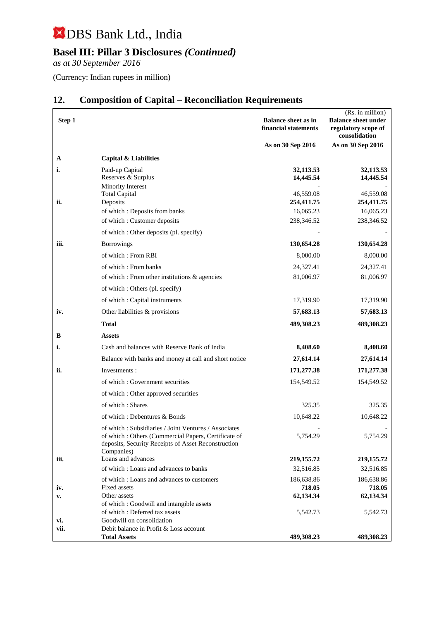## **Basel III: Pillar 3 Disclosures** *(Continued)*

*as at 30 September 2016*

(Currency: Indian rupees in million)

| Step 1 |                                                                                                                                                                                  | <b>Balance sheet as in</b><br>financial statements | (Rs. in million)<br><b>Balance sheet under</b><br>regulatory scope of<br>consolidation |
|--------|----------------------------------------------------------------------------------------------------------------------------------------------------------------------------------|----------------------------------------------------|----------------------------------------------------------------------------------------|
|        |                                                                                                                                                                                  | As on 30 Sep 2016                                  | As on 30 Sep 2016                                                                      |
| A      | Capital & Liabilities                                                                                                                                                            |                                                    |                                                                                        |
| i.     | Paid-up Capital<br>Reserves & Surplus<br>Minority Interest                                                                                                                       | 32,113.53<br>14,445.54                             | 32,113.53<br>14,445.54                                                                 |
|        | <b>Total Capital</b>                                                                                                                                                             | 46,559.08                                          | 46,559.08                                                                              |
| ii.    | Deposits                                                                                                                                                                         | 254,411.75                                         | 254,411.75                                                                             |
|        | of which : Deposits from banks                                                                                                                                                   | 16,065.23                                          | 16,065.23                                                                              |
|        | of which: Customer deposits                                                                                                                                                      | 238,346.52                                         | 238,346.52                                                                             |
|        | of which : Other deposits (pl. specify)                                                                                                                                          |                                                    |                                                                                        |
| iii.   | <b>Borrowings</b>                                                                                                                                                                | 130,654.28                                         | 130,654.28                                                                             |
|        | of which: From RBI                                                                                                                                                               | 8,000.00                                           | 8,000.00                                                                               |
|        | of which: From banks                                                                                                                                                             | 24,327.41                                          | 24,327.41                                                                              |
|        | of which : From other institutions & agencies                                                                                                                                    | 81,006.97                                          | 81,006.97                                                                              |
|        | of which : Others (pl. specify)                                                                                                                                                  |                                                    |                                                                                        |
|        | of which: Capital instruments                                                                                                                                                    | 17,319.90                                          | 17,319.90                                                                              |
| iv.    | Other liabilities & provisions                                                                                                                                                   | 57,683.13                                          | 57,683.13                                                                              |
|        | <b>Total</b>                                                                                                                                                                     | 489,308.23                                         | 489,308.23                                                                             |
| B      | <b>Assets</b>                                                                                                                                                                    |                                                    |                                                                                        |
| i.     | Cash and balances with Reserve Bank of India                                                                                                                                     | 8,408.60                                           | 8,408.60                                                                               |
|        | Balance with banks and money at call and short notice                                                                                                                            | 27,614.14                                          | 27,614.14                                                                              |
| ii.    | Investments:                                                                                                                                                                     | 171,277.38                                         | 171,277.38                                                                             |
|        | of which: Government securities                                                                                                                                                  | 154,549.52                                         | 154,549.52                                                                             |
|        | of which: Other approved securities                                                                                                                                              |                                                    |                                                                                        |
|        | of which: Shares                                                                                                                                                                 | 325.35                                             | 325.35                                                                                 |
|        | of which: Debentures & Bonds                                                                                                                                                     | 10,648.22                                          | 10,648.22                                                                              |
|        | of which: Subsidiaries / Joint Ventures / Associates<br>of which: Others (Commercial Papers, Certificate of<br>deposits, Security Receipts of Asset Reconstruction<br>Companies) | 5,754.29                                           | 5,754.29                                                                               |
| iii.   | Loans and advances                                                                                                                                                               | 219,155.72                                         | 219,155.72                                                                             |
|        | of which: Loans and advances to banks                                                                                                                                            | 32,516.85                                          | 32,516.85                                                                              |
| iv.    | of which: Loans and advances to customers<br>Fixed assets                                                                                                                        | 186,638.86<br>718.05                               | 186,638.86<br>718.05                                                                   |
| v.     | Other assets<br>of which: Goodwill and intangible assets                                                                                                                         | 62,134.34                                          | 62,134.34                                                                              |
|        | of which: Deferred tax assets                                                                                                                                                    | 5,542.73                                           | 5,542.73                                                                               |
| vi.    | Goodwill on consolidation                                                                                                                                                        |                                                    |                                                                                        |
| vii.   | Debit balance in Profit & Loss account<br><b>Total Assets</b>                                                                                                                    | 489,308.23                                         | 489,308.23                                                                             |

## **12. Composition of Capital – Reconciliation Requirements**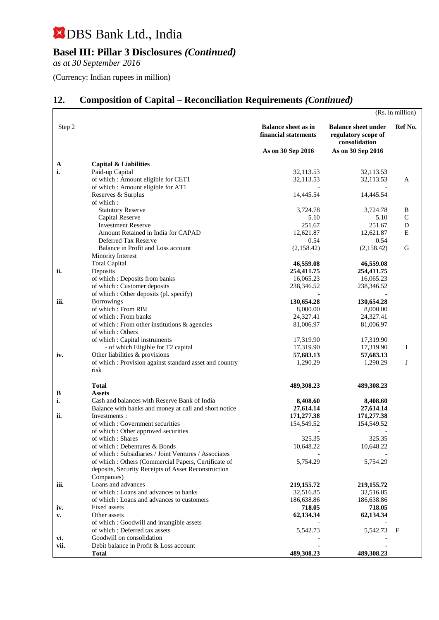## **Basel III: Pillar 3 Disclosures** *(Continued)*

*as at 30 September 2016*

(Currency: Indian rupees in million)

## **12. Composition of Capital – Reconciliation Requirements** *(Continued)*

|           |                                                                        |                                                    |                                                                    | (Rs. in million) |
|-----------|------------------------------------------------------------------------|----------------------------------------------------|--------------------------------------------------------------------|------------------|
| Step 2    |                                                                        | <b>Balance sheet as in</b><br>financial statements | <b>Balance sheet under</b><br>regulatory scope of<br>consolidation | Ref No.          |
|           |                                                                        | As on 30 Sep 2016                                  | As on 30 Sep 2016                                                  |                  |
| A         | <b>Capital &amp; Liabilities</b>                                       |                                                    |                                                                    |                  |
| i.        | Paid-up Capital                                                        | 32,113.53                                          | 32,113.53                                                          |                  |
|           | of which: Amount eligible for CET1                                     | 32,113.53                                          | 32,113.53                                                          | A                |
|           | of which: Amount eligible for AT1                                      |                                                    |                                                                    |                  |
|           | Reserves & Surplus                                                     | 14,445.54                                          | 14,445.54                                                          |                  |
|           | of which:                                                              |                                                    |                                                                    |                  |
|           | <b>Statutory Reserve</b><br>Capital Reserve                            | 3,724.78<br>5.10                                   | 3,724.78<br>5.10                                                   | B<br>$\mathbf C$ |
|           | <b>Investment Reserve</b>                                              | 251.67                                             | 251.67                                                             | D                |
|           | Amount Retained in India for CAPAD                                     | 12,621.87                                          | 12,621.87                                                          | Ε                |
|           | Deferred Tax Reserve                                                   | 0.54                                               | 0.54                                                               |                  |
|           | Balance in Profit and Loss account                                     | (2,158.42)                                         | (2,158.42)                                                         | G                |
|           | Minority Interest                                                      |                                                    |                                                                    |                  |
|           | <b>Total Capital</b>                                                   | 46,559.08                                          | 46,559.08                                                          |                  |
| ii.       | Deposits                                                               | 254,411.75                                         | 254,411.75                                                         |                  |
|           | of which : Deposits from banks                                         | 16,065.23                                          | 16,065.23                                                          |                  |
|           | of which : Customer deposits<br>of which: Other deposits (pl. specify) | 238,346.52                                         | 238,346.52                                                         |                  |
| iii.      | <b>Borrowings</b>                                                      | 130,654.28                                         | 130,654.28                                                         |                  |
|           | of which: From RBI                                                     | 8,000.00                                           | 8,000.00                                                           |                  |
|           | of which: From banks                                                   | 24,327.41                                          | 24,327.41                                                          |                  |
|           | of which : From other institutions $\&$ agencies                       | 81,006.97                                          | 81,006.97                                                          |                  |
|           | of which: Others                                                       |                                                    |                                                                    |                  |
|           | of which: Capital instruments                                          | 17,319.90                                          | 17,319.90                                                          |                  |
|           | - of which Eligible for T2 capital<br>Other liabilities & provisions   | 17,319.90                                          | 17,319.90                                                          | Ι                |
| iv.       | of which : Provision against standard asset and country                | 57,683.13<br>1,290.29                              | 57,683.13<br>1,290.29                                              | J                |
|           | risk                                                                   |                                                    |                                                                    |                  |
|           | <b>Total</b>                                                           | 489,308.23                                         | 489,308.23                                                         |                  |
| B         | <b>Assets</b>                                                          |                                                    |                                                                    |                  |
| i.        | Cash and balances with Reserve Bank of India                           | 8,408.60                                           | 8,408.60                                                           |                  |
|           | Balance with banks and money at call and short notice                  | 27,614.14                                          | 27,614.14                                                          |                  |
| ii.       | Investments :                                                          | 171,277.38                                         | 171,277.38                                                         |                  |
|           | of which: Government securities                                        | 154,549.52                                         | 154,549.52                                                         |                  |
|           | of which : Other approved securities<br>of which: Shares               | 325.35                                             | 325.35                                                             |                  |
|           | of which: Debentures & Bonds                                           | 10,648.22                                          | 10,648.22                                                          |                  |
|           | of which: Subsidiaries / Joint Ventures / Associates                   |                                                    |                                                                    |                  |
|           | of which : Others (Commercial Papers, Certificate of                   | 5,754.29                                           | 5,754.29                                                           |                  |
|           | deposits, Security Receipts of Asset Reconstruction                    |                                                    |                                                                    |                  |
|           | Companies)                                                             |                                                    |                                                                    |                  |
| iii.      | Loans and advances                                                     | 219,155.72                                         | 219,155.72                                                         |                  |
|           | of which: Loans and advances to banks                                  | 32,516.85                                          | 32,516.85                                                          |                  |
|           | of which: Loans and advances to customers<br>Fixed assets              | 186,638.86<br>718.05                               | 186,638.86<br>718.05                                               |                  |
| iv.<br>v. | Other assets                                                           | 62,134.34                                          | 62,134.34                                                          |                  |
|           | of which: Goodwill and intangible assets                               |                                                    |                                                                    |                  |
|           | of which: Deferred tax assets                                          | 5,542.73                                           | 5,542.73                                                           | F                |
| vi.       | Goodwill on consolidation                                              |                                                    |                                                                    |                  |
| vii.      | Debit balance in Profit & Loss account                                 |                                                    |                                                                    |                  |
|           | <b>Total</b>                                                           | 489,308.23                                         | 489,308.23                                                         |                  |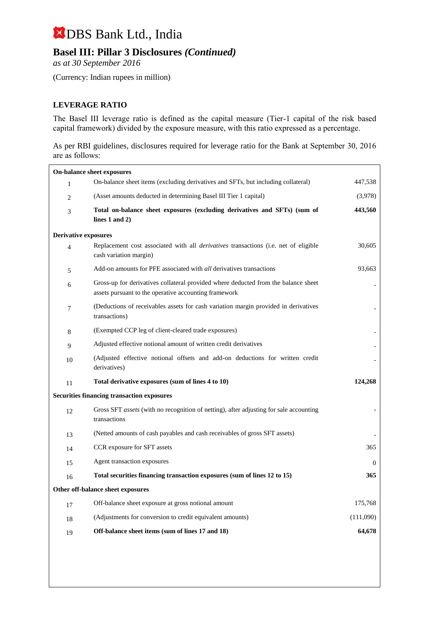## **Basel III: Pillar 3 Disclosures** *(Continued)*

*as at 30 September 2016*

(Currency: Indian rupees in million)

#### **LEVERAGE RATIO**

The Basel III leverage ratio is defined as the capital measure (Tier-1 capital of the risk based capital framework) divided by the exposure measure, with this ratio expressed as a percentage.

As per RBI guidelines, disclosures required for leverage ratio for the Bank at September 30, 2016 are as follows:

| On-balance sheet exposures        |                                                                                                                                             |           |
|-----------------------------------|---------------------------------------------------------------------------------------------------------------------------------------------|-----------|
| $\mathbf{1}$                      | On-balance sheet items (excluding derivatives and SFTs, but including collateral)                                                           | 447,538   |
| 2                                 | (Asset amounts deducted in determining Basel III Tier 1 capital)                                                                            | (3,978)   |
| 3                                 | Total on-balance sheet exposures (excluding derivatives and SFTs) (sum of<br>lines $1$ and $2)$                                             | 443,560   |
| <b>Derivative exposures</b>       |                                                                                                                                             |           |
| $\overline{4}$                    | Replacement cost associated with all <i>derivatives</i> transactions (i.e. net of eligible<br>cash variation margin)                        | 30,605    |
| 5                                 | Add-on amounts for PFE associated with <i>all</i> derivatives transactions                                                                  | 93.663    |
| 6                                 | Gross-up for derivatives collateral provided where deducted from the balance sheet<br>assets pursuant to the operative accounting framework |           |
| $\tau$                            | (Deductions of receivables assets for cash variation margin provided in derivatives<br>transactions)                                        |           |
| 8                                 | (Exempted CCP leg of client-cleared trade exposures)                                                                                        |           |
| 9                                 | Adjusted effective notional amount of written credit derivatives                                                                            |           |
| 10                                | (Adjusted effective notional offsets and add-on deductions for written credit<br>derivatives)                                               |           |
| 11                                | Total derivative exposures (sum of lines 4 to 10)                                                                                           | 124,268   |
|                                   | <b>Securities financing transaction exposures</b>                                                                                           |           |
| 12                                | Gross SFT assets (with no recognition of netting), after adjusting for sale accounting<br>transactions                                      |           |
| 13                                | (Netted amounts of cash payables and cash receivables of gross SFT assets)                                                                  |           |
| 14                                | CCR exposure for SFT assets                                                                                                                 | 365       |
| 15                                | Agent transaction exposures                                                                                                                 | $\Omega$  |
| 16                                | Total securities financing transaction exposures (sum of lines 12 to 15)                                                                    | 365       |
| Other off-balance sheet exposures |                                                                                                                                             |           |
| 17                                | Off-balance sheet exposure at gross notional amount                                                                                         | 175,768   |
| 18                                | (Adjustments for conversion to credit equivalent amounts)                                                                                   | (111,090) |
| 19                                | Off-balance sheet items (sum of lines 17 and 18)                                                                                            | 64,678    |